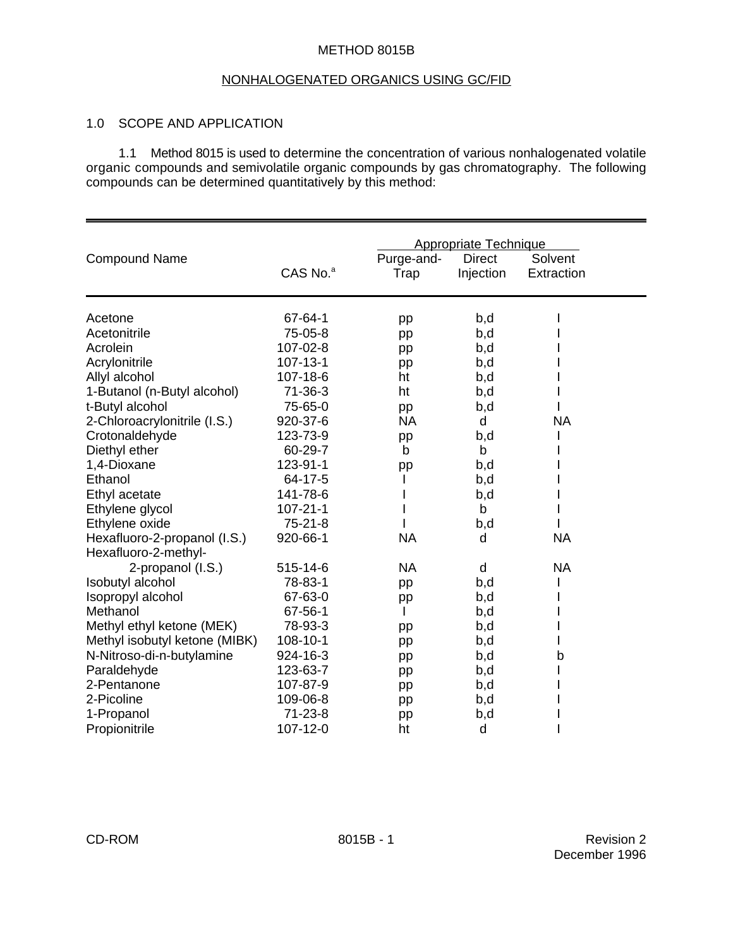#### METHOD 8015B

### NONHALOGENATED ORGANICS USING GC/FID

#### 1.0 SCOPE AND APPLICATION

1.1 Method 8015 is used to determine the concentration of various nonhalogenated volatile organic compounds and semivolatile organic compounds by gas chromatography. The following compounds can be determined quantitatively by this method:

|                                                |                      | <b>Appropriate Technique</b> |               |            |  |  |
|------------------------------------------------|----------------------|------------------------------|---------------|------------|--|--|
| <b>Compound Name</b>                           |                      | Purge-and-                   | <b>Direct</b> | Solvent    |  |  |
|                                                | CAS No. <sup>a</sup> | Trap                         | Injection     | Extraction |  |  |
| Acetone                                        | 67-64-1              |                              | b,d           |            |  |  |
| Acetonitrile                                   | 75-05-8              | pp                           | b,d           |            |  |  |
| Acrolein                                       | 107-02-8             | pp                           |               |            |  |  |
| Acrylonitrile                                  | 107-13-1             | pp                           | b,d<br>b,d    |            |  |  |
| Allyl alcohol                                  | 107-18-6             | pp<br>ht                     |               |            |  |  |
|                                                | 71-36-3              |                              | b,d           |            |  |  |
| 1-Butanol (n-Butyl alcohol)<br>t-Butyl alcohol | 75-65-0              | ht                           | b,d           |            |  |  |
|                                                | 920-37-6             | pp                           | b,d<br>d      | <b>NA</b>  |  |  |
| 2-Chloroacrylonitrile (I.S.)                   | 123-73-9             | <b>NA</b>                    |               |            |  |  |
| Crotonaldehyde                                 |                      | pp                           | b,d           |            |  |  |
| Diethyl ether                                  | 60-29-7              | b                            | b             |            |  |  |
| 1,4-Dioxane                                    | 123-91-1             | pp                           | b,d           |            |  |  |
| Ethanol                                        | 64-17-5              |                              | b,d           |            |  |  |
| Ethyl acetate                                  | 141-78-6             |                              | b,d           |            |  |  |
| Ethylene glycol                                | 107-21-1             |                              | $\mathsf b$   |            |  |  |
| Ethylene oxide                                 | $75 - 21 - 8$        |                              | b,d           |            |  |  |
| Hexafluoro-2-propanol (I.S.)                   | 920-66-1             | <b>NA</b>                    | d             | <b>NA</b>  |  |  |
| Hexafluoro-2-methyl-                           |                      |                              |               |            |  |  |
| 2-propanol (I.S.)                              | 515-14-6             | <b>NA</b>                    | d             | <b>NA</b>  |  |  |
| Isobutyl alcohol                               | 78-83-1              | pp                           | b,d           |            |  |  |
| Isopropyl alcohol                              | 67-63-0              | pp                           | b,d           |            |  |  |
| Methanol                                       | 67-56-1              |                              | b,d           |            |  |  |
| Methyl ethyl ketone (MEK)                      | 78-93-3              | pp                           | b,d           |            |  |  |
| Methyl isobutyl ketone (MIBK)                  | 108-10-1             | pp                           | b,d           |            |  |  |
| N-Nitroso-di-n-butylamine                      | 924-16-3             | pp                           | b,d           | b          |  |  |
| Paraldehyde                                    | 123-63-7             | pp                           | b,d           |            |  |  |
| 2-Pentanone                                    | 107-87-9             | pp                           | b,d           |            |  |  |
| 2-Picoline                                     | 109-06-8             | pp                           | b,d           |            |  |  |
| 1-Propanol                                     | 71-23-8              | pp                           | b,d           |            |  |  |
| Propionitrile                                  | 107-12-0             | ht                           | d             |            |  |  |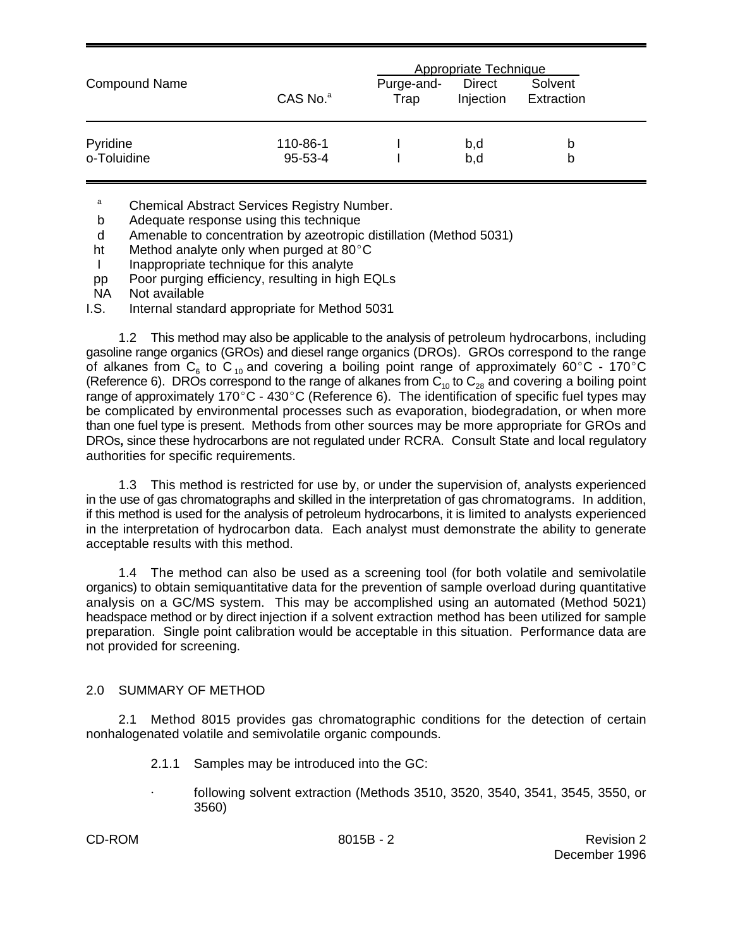| <b>Compound Name</b> | CAS No. <sup>a</sup> | Purge-and-<br>Trap | Appropriate Technique<br><b>Direct</b><br>Injection | Solvent<br>Extraction |
|----------------------|----------------------|--------------------|-----------------------------------------------------|-----------------------|
| Pyridine             | 110-86-1             |                    | b,d                                                 | b                     |
| o-Toluidine          | $95 - 53 - 4$        |                    | b,d                                                 | b                     |

<sup>a</sup> Chemical Abstract Services Registry Number.

b Adequate response using this technique

d Amenable to concentration by azeotropic distillation (Method 5031)

ht Method analyte only when purged at  $80^{\circ}$ C

I Inappropriate technique for this analyte

pp Poor purging efficiency, resulting in high EQLs

NA Not available

I.S. Internal standard appropriate for Method 5031

1.2 This method may also be applicable to the analysis of petroleum hydrocarbons, including gasoline range organics (GROs) and diesel range organics (DROs). GROs correspond to the range of alkanes from  $\mathsf{C}_6$  to C<sub>10</sub> and covering a boiling point range of approximately 60°C - 170°C (Reference 6). DROs correspond to the range of alkanes from  $C_{10}$  to  $C_{28}$  and covering a boiling point range of approximately 170°C - 430°C (Reference 6). The identification of specific fuel types may be complicated by environmental processes such as evaporation, biodegradation, or when more than one fuel type is present. Methods from other sources may be more appropriate for GROs and DROs**,** since these hydrocarbons are not regulated under RCRA. Consult State and local regulatory authorities for specific requirements.

1.3 This method is restricted for use by, or under the supervision of, analysts experienced in the use of gas chromatographs and skilled in the interpretation of gas chromatograms. In addition, if this method is used for the analysis of petroleum hydrocarbons, it is limited to analysts experienced in the interpretation of hydrocarbon data. Each analyst must demonstrate the ability to generate acceptable results with this method.

1.4 The method can also be used as a screening tool (for both volatile and semivolatile organics) to obtain semiquantitative data for the prevention of sample overload during quantitative analysis on a GC/MS system. This may be accomplished using an automated (Method 5021) headspace method or by direct injection if a solvent extraction method has been utilized for sample preparation. Single point calibration would be acceptable in this situation. Performance data are not provided for screening.

## 2.0 SUMMARY OF METHOD

2.1 Method 8015 provides gas chromatographic conditions for the detection of certain nonhalogenated volatile and semivolatile organic compounds.

2.1.1 Samples may be introduced into the GC:

@ following solvent extraction (Methods 3510, 3520, 3540, 3541, 3545, 3550, or 3560)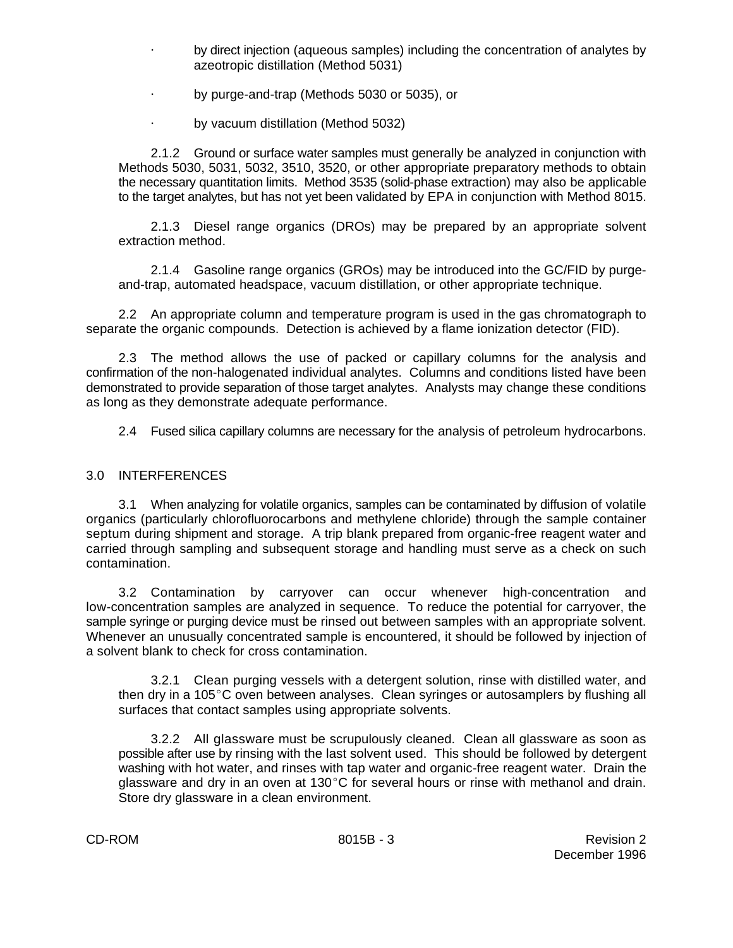- by direct injection (aqueous samples) including the concentration of analytes by azeotropic distillation (Method 5031)
- $\cdot$  by purge-and-trap (Methods 5030 or 5035), or
- by vacuum distillation (Method 5032)

2.1.2 Ground or surface water samples must generally be analyzed in conjunction with Methods 5030, 5031, 5032, 3510, 3520, or other appropriate preparatory methods to obtain the necessary quantitation limits. Method 3535 (solid-phase extraction) may also be applicable to the target analytes, but has not yet been validated by EPA in conjunction with Method 8015.

2.1.3 Diesel range organics (DROs) may be prepared by an appropriate solvent extraction method.

2.1.4 Gasoline range organics (GROs) may be introduced into the GC/FID by purgeand-trap, automated headspace, vacuum distillation, or other appropriate technique.

2.2 An appropriate column and temperature program is used in the gas chromatograph to separate the organic compounds. Detection is achieved by a flame ionization detector (FID).

2.3 The method allows the use of packed or capillary columns for the analysis and confirmation of the non-halogenated individual analytes. Columns and conditions listed have been demonstrated to provide separation of those target analytes. Analysts may change these conditions as long as they demonstrate adequate performance.

2.4 Fused silica capillary columns are necessary for the analysis of petroleum hydrocarbons.

## 3.0 INTERFERENCES

3.1 When analyzing for volatile organics, samples can be contaminated by diffusion of volatile organics (particularly chlorofluorocarbons and methylene chloride) through the sample container septum during shipment and storage. A trip blank prepared from organic-free reagent water and carried through sampling and subsequent storage and handling must serve as a check on such contamination.

3.2 Contamination by carryover can occur whenever high-concentration and low-concentration samples are analyzed in sequence. To reduce the potential for carryover, the sample syringe or purging device must be rinsed out between samples with an appropriate solvent. Whenever an unusually concentrated sample is encountered, it should be followed by injection of a solvent blank to check for cross contamination.

3.2.1 Clean purging vessels with a detergent solution, rinse with distilled water, and then dry in a 105 $\degree$ C oven between analyses. Clean syringes or autosamplers by flushing all surfaces that contact samples using appropriate solvents.

3.2.2 All glassware must be scrupulously cleaned. Clean all glassware as soon as possible after use by rinsing with the last solvent used. This should be followed by detergent washing with hot water, and rinses with tap water and organic-free reagent water. Drain the glassware and dry in an oven at 130 $^{\circ}$ C for several hours or rinse with methanol and drain. Store dry glassware in a clean environment.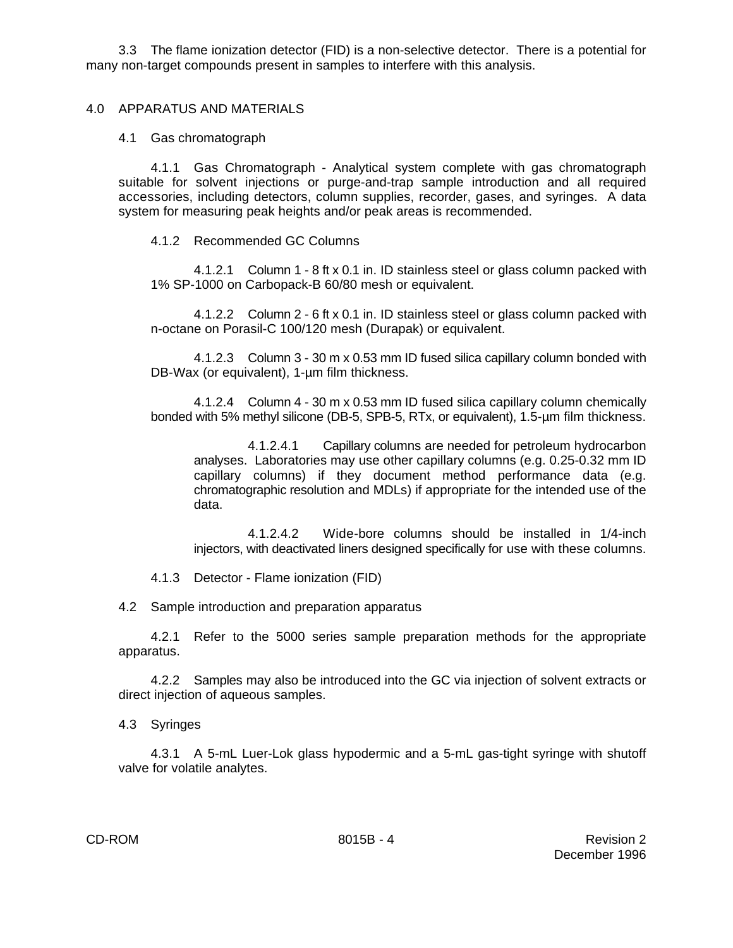3.3 The flame ionization detector (FID) is a non-selective detector. There is a potential for many non-target compounds present in samples to interfere with this analysis.

#### 4.0 APPARATUS AND MATERIALS

### 4.1 Gas chromatograph

4.1.1 Gas Chromatograph - Analytical system complete with gas chromatograph suitable for solvent injections or purge-and-trap sample introduction and all required accessories, including detectors, column supplies, recorder, gases, and syringes. A data system for measuring peak heights and/or peak areas is recommended.

## 4.1.2 Recommended GC Columns

4.1.2.1 Column 1 - 8 ft x 0.1 in. ID stainless steel or glass column packed with 1% SP-1000 on Carbopack-B 60/80 mesh or equivalent.

4.1.2.2 Column 2 - 6 ft x 0.1 in. ID stainless steel or glass column packed with n-octane on Porasil-C 100/120 mesh (Durapak) or equivalent.

4.1.2.3 Column 3 - 30 m x 0.53 mm ID fused silica capillary column bonded with DB-Wax (or equivalent), 1-µm film thickness.

4.1.2.4 Column 4 - 30 m x 0.53 mm ID fused silica capillary column chemically bonded with 5% methyl silicone (DB-5, SPB-5, RTx, or equivalent), 1.5-µm film thickness.

4.1.2.4.1 Capillary columns are needed for petroleum hydrocarbon analyses. Laboratories may use other capillary columns (e.g. 0.25-0.32 mm ID capillary columns) if they document method performance data (e.g. chromatographic resolution and MDLs) if appropriate for the intended use of the data.

4.1.2.4.2 Wide-bore columns should be installed in 1/4-inch injectors, with deactivated liners designed specifically for use with these columns.

4.1.3 Detector - Flame ionization (FID)

4.2 Sample introduction and preparation apparatus

4.2.1 Refer to the 5000 series sample preparation methods for the appropriate apparatus.

4.2.2 Samples may also be introduced into the GC via injection of solvent extracts or direct injection of aqueous samples.

4.3 Syringes

4.3.1 A 5-mL Luer-Lok glass hypodermic and a 5-mL gas-tight syringe with shutoff valve for volatile analytes.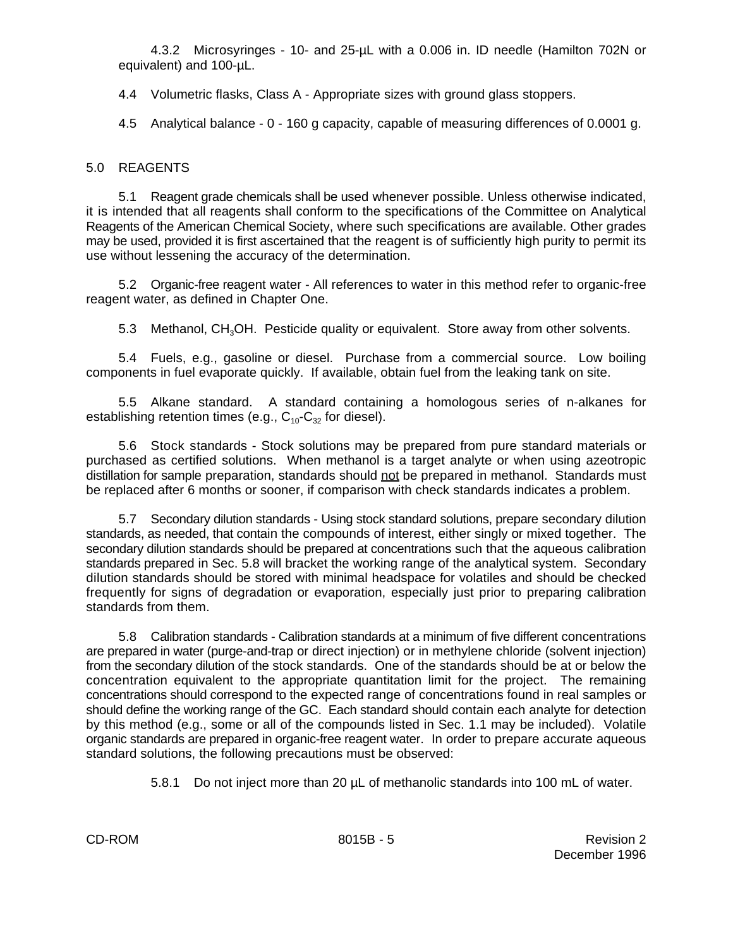4.3.2 Microsyringes - 10- and 25-µL with a 0.006 in. ID needle (Hamilton 702N or equivalent) and 100-µL.

4.4 Volumetric flasks, Class A - Appropriate sizes with ground glass stoppers.

4.5 Analytical balance - 0 - 160 g capacity, capable of measuring differences of 0.0001 g.

## 5.0 REAGENTS

5.1 Reagent grade chemicals shall be used whenever possible. Unless otherwise indicated, it is intended that all reagents shall conform to the specifications of the Committee on Analytical Reagents of the American Chemical Society, where such specifications are available. Other grades may be used, provided it is first ascertained that the reagent is of sufficiently high purity to permit its use without lessening the accuracy of the determination.

5.2 Organic-free reagent water - All references to water in this method refer to organic-free reagent water, as defined in Chapter One.

5.3 Methanol, CH<sub>3</sub>OH. Pesticide quality or equivalent. Store away from other solvents.

5.4 Fuels, e.g., gasoline or diesel. Purchase from a commercial source. Low boiling components in fuel evaporate quickly. If available, obtain fuel from the leaking tank on site.

5.5 Alkane standard. A standard containing a homologous series of n-alkanes for establishing retention times (e.g.,  $C_{10}$ - $C_{32}$  for diesel).

5.6 Stock standards - Stock solutions may be prepared from pure standard materials or purchased as certified solutions. When methanol is a target analyte or when using azeotropic distillation for sample preparation, standards should not be prepared in methanol. Standards must be replaced after 6 months or sooner, if comparison with check standards indicates a problem.

5.7 Secondary dilution standards - Using stock standard solutions, prepare secondary dilution standards, as needed, that contain the compounds of interest, either singly or mixed together. The secondary dilution standards should be prepared at concentrations such that the aqueous calibration standards prepared in Sec. 5.8 will bracket the working range of the analytical system. Secondary dilution standards should be stored with minimal headspace for volatiles and should be checked frequently for signs of degradation or evaporation, especially just prior to preparing calibration standards from them.

5.8 Calibration standards - Calibration standards at a minimum of five different concentrations are prepared in water (purge-and-trap or direct injection) or in methylene chloride (solvent injection) from the secondary dilution of the stock standards. One of the standards should be at or below the concentration equivalent to the appropriate quantitation limit for the project. The remaining concentrations should correspond to the expected range of concentrations found in real samples or should define the working range of the GC. Each standard should contain each analyte for detection by this method (e.g., some or all of the compounds listed in Sec. 1.1 may be included). Volatile organic standards are prepared in organic-free reagent water. In order to prepare accurate aqueous standard solutions, the following precautions must be observed:

5.8.1 Do not inject more than 20 µL of methanolic standards into 100 mL of water.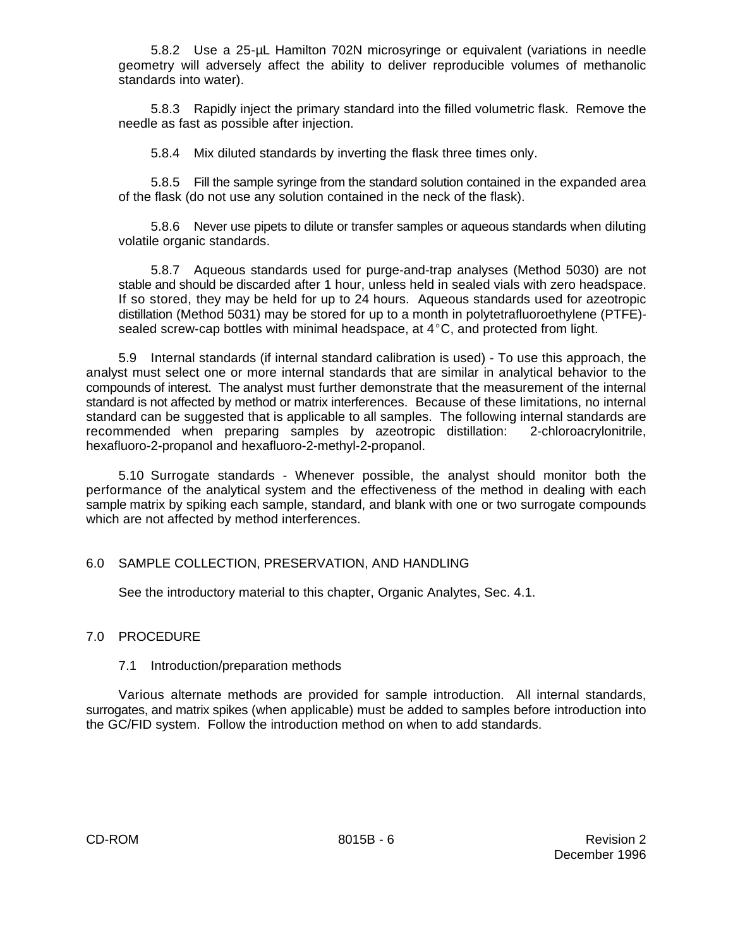5.8.2 Use a 25-µL Hamilton 702N microsyringe or equivalent (variations in needle geometry will adversely affect the ability to deliver reproducible volumes of methanolic standards into water).

5.8.3 Rapidly inject the primary standard into the filled volumetric flask. Remove the needle as fast as possible after injection.

5.8.4 Mix diluted standards by inverting the flask three times only.

5.8.5 Fill the sample syringe from the standard solution contained in the expanded area of the flask (do not use any solution contained in the neck of the flask).

5.8.6 Never use pipets to dilute or transfer samples or aqueous standards when diluting volatile organic standards.

5.8.7 Aqueous standards used for purge-and-trap analyses (Method 5030) are not stable and should be discarded after 1 hour, unless held in sealed vials with zero headspace. If so stored, they may be held for up to 24 hours. Aqueous standards used for azeotropic distillation (Method 5031) may be stored for up to a month in polytetrafluoroethylene (PTFE) sealed screw-cap bottles with minimal headspace, at  $4^{\circ}$ C, and protected from light.

5.9 Internal standards (if internal standard calibration is used) - To use this approach, the analyst must select one or more internal standards that are similar in analytical behavior to the compounds of interest. The analyst must further demonstrate that the measurement of the internal standard is not affected by method or matrix interferences. Because of these limitations, no internal standard can be suggested that is applicable to all samples. The following internal standards are recommended when preparing samples by azeotropic distillation: 2-chloroacrylonitrile, hexafluoro-2-propanol and hexafluoro-2-methyl-2-propanol.

5.10 Surrogate standards - Whenever possible, the analyst should monitor both the performance of the analytical system and the effectiveness of the method in dealing with each sample matrix by spiking each sample, standard, and blank with one or two surrogate compounds which are not affected by method interferences.

## 6.0 SAMPLE COLLECTION, PRESERVATION, AND HANDLING

See the introductory material to this chapter, Organic Analytes, Sec. 4.1.

## 7.0 PROCEDURE

## 7.1 Introduction/preparation methods

Various alternate methods are provided for sample introduction. All internal standards, surrogates, and matrix spikes (when applicable) must be added to samples before introduction into the GC/FID system. Follow the introduction method on when to add standards.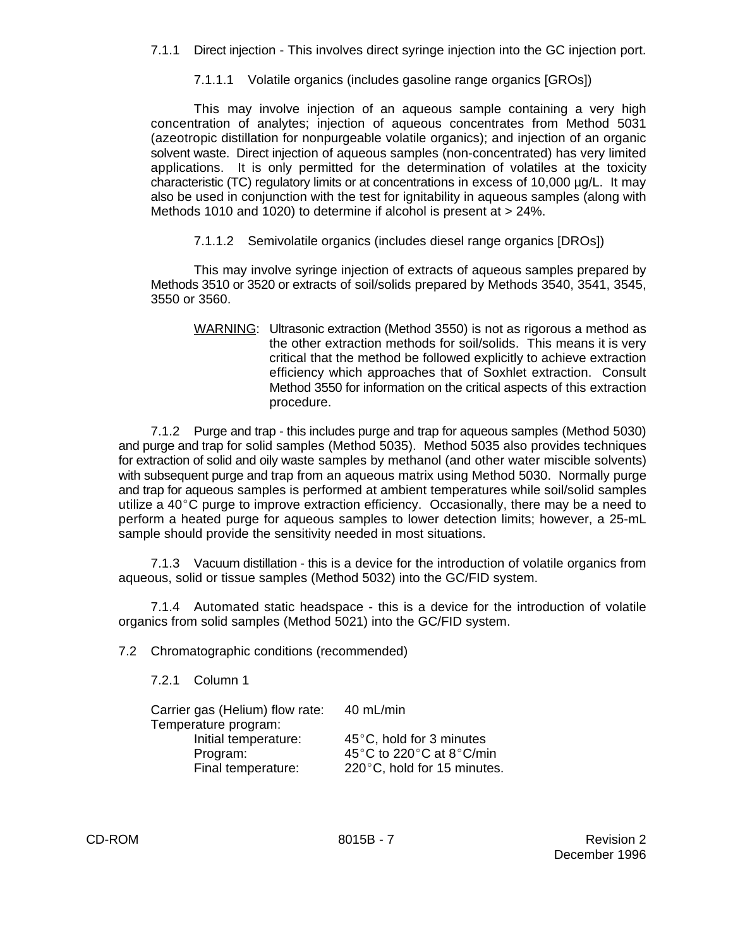- 7.1.1 Direct injection This involves direct syringe injection into the GC injection port.
	- 7.1.1.1 Volatile organics (includes gasoline range organics [GROs])

This may involve injection of an aqueous sample containing a very high concentration of analytes; injection of aqueous concentrates from Method 5031 (azeotropic distillation for nonpurgeable volatile organics); and injection of an organic solvent waste. Direct injection of aqueous samples (non-concentrated) has very limited applications. It is only permitted for the determination of volatiles at the toxicity characteristic (TC) regulatory limits or at concentrations in excess of 10,000  $\mu q/L$ . It may also be used in conjunction with the test for ignitability in aqueous samples (along with Methods 1010 and 1020) to determine if alcohol is present at > 24%.

7.1.1.2 Semivolatile organics (includes diesel range organics [DROs])

This may involve syringe injection of extracts of aqueous samples prepared by Methods 3510 or 3520 or extracts of soil/solids prepared by Methods 3540, 3541, 3545, 3550 or 3560.

WARNING: Ultrasonic extraction (Method 3550) is not as rigorous a method as the other extraction methods for soil/solids. This means it is very critical that the method be followed explicitly to achieve extraction efficiency which approaches that of Soxhlet extraction. Consult Method 3550 for information on the critical aspects of this extraction procedure.

7.1.2 Purge and trap - this includes purge and trap for aqueous samples (Method 5030) and purge and trap for solid samples (Method 5035). Method 5035 also provides techniques for extraction of solid and oily waste samples by methanol (and other water miscible solvents) with subsequent purge and trap from an aqueous matrix using Method 5030. Normally purge and trap for aqueous samples is performed at ambient temperatures while soil/solid samples utilize a 40 $\degree$ C purge to improve extraction efficiency. Occasionally, there may be a need to perform a heated purge for aqueous samples to lower detection limits; however, a 25-mL sample should provide the sensitivity needed in most situations.

7.1.3 Vacuum distillation - this is a device for the introduction of volatile organics from aqueous, solid or tissue samples (Method 5032) into the GC/FID system.

7.1.4 Automated static headspace - this is a device for the introduction of volatile organics from solid samples (Method 5021) into the GC/FID system.

7.2 Chromatographic conditions (recommended)

7.2.1 Column 1

| Carrier gas (Helium) flow rate: | 40 mL/min                   |
|---------------------------------|-----------------------------|
| Temperature program:            |                             |
| Initial temperature:            | 45°C, hold for 3 minutes    |
| Program:                        | 45°C to 220°C at 8°C/min    |
| Final temperature:              | 220°C, hold for 15 minutes. |
|                                 |                             |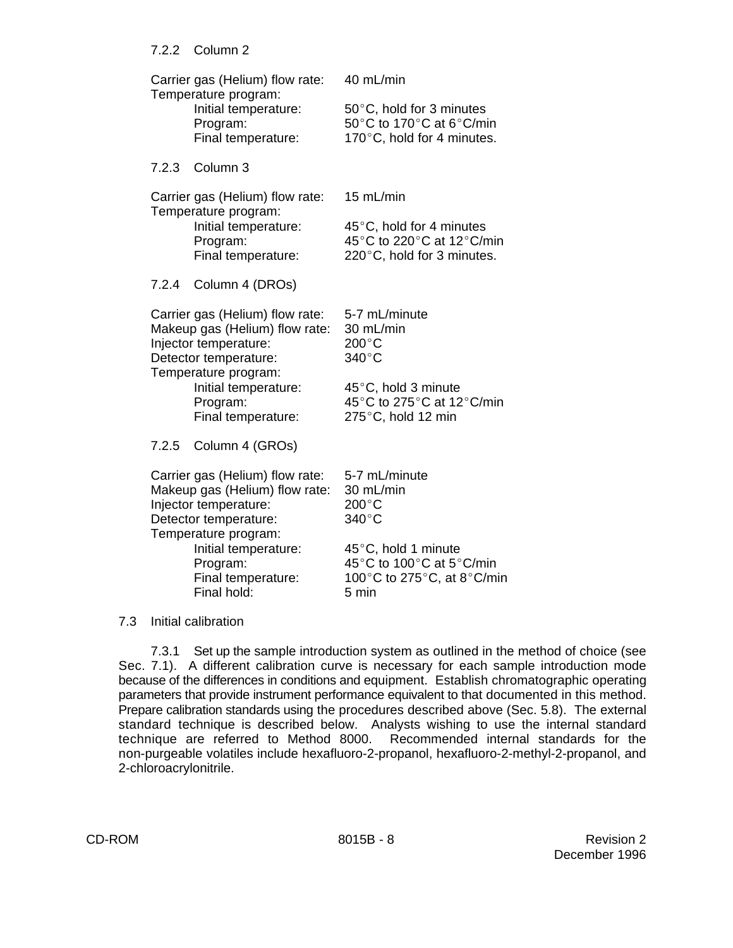| Carrier gas (Helium) flow rate:<br>Temperature program:                                                                                                                                               | 40 mL/min                                                                                                                                            |
|-------------------------------------------------------------------------------------------------------------------------------------------------------------------------------------------------------|------------------------------------------------------------------------------------------------------------------------------------------------------|
| Initial temperature:<br>Program:<br>Final temperature:                                                                                                                                                | 50°C, hold for 3 minutes<br>50°C to 170°C at 6°C/min<br>170°C, hold for 4 minutes.                                                                   |
| 7.2.3 Column 3                                                                                                                                                                                        |                                                                                                                                                      |
| Carrier gas (Helium) flow rate:<br>Temperature program:<br>Initial temperature:<br>Program:<br>Final temperature:                                                                                     | 15 mL/min<br>45°C, hold for 4 minutes<br>45°C to 220°C at 12°C/min<br>220°C, hold for 3 minutes.                                                     |
| 7.2.4 Column 4 (DROs)                                                                                                                                                                                 |                                                                                                                                                      |
| Carrier gas (Helium) flow rate:<br>Makeup gas (Helium) flow rate:<br>Injector temperature:<br>Detector temperature:<br>Temperature program:<br>Initial temperature:<br>Program:<br>Final temperature: | 5-7 mL/minute<br>30 mL/min<br>$200^{\circ}$ C<br>$340^{\circ}$ C<br>45°C, hold 3 minute<br>45°C to 275°C at 12°C/min<br>$275^{\circ}$ C, hold 12 min |
| 7.2.5 Column 4 (GROs)                                                                                                                                                                                 |                                                                                                                                                      |
| Carrier gas (Helium) flow rate:<br>Makeup gas (Helium) flow rate:<br>Injector temperature:<br>Detector temperature:<br>Temperature program:<br>Initial temperature:<br>Program:<br>Final temperature: | 5-7 mL/minute<br>30 mL/min<br>$200^{\circ}$ C<br>340°C<br>45°C, hold 1 minute<br>45°C to 100°C at 5°C/min<br>100°C to 275°C, at 8°C/min              |
| Final hold:                                                                                                                                                                                           | 5 min                                                                                                                                                |

## 7.3 Initial calibration

7.3.1 Set up the sample introduction system as outlined in the method of choice (see Sec. 7.1). A different calibration curve is necessary for each sample introduction mode because of the differences in conditions and equipment. Establish chromatographic operating parameters that provide instrument performance equivalent to that documented in this method. Prepare calibration standards using the procedures described above (Sec. 5.8). The external standard technique is described below. Analysts wishing to use the internal standard technique are referred to Method 8000. Recommended internal standards for the non-purgeable volatiles include hexafluoro-2-propanol, hexafluoro-2-methyl-2-propanol, and 2-chloroacrylonitrile.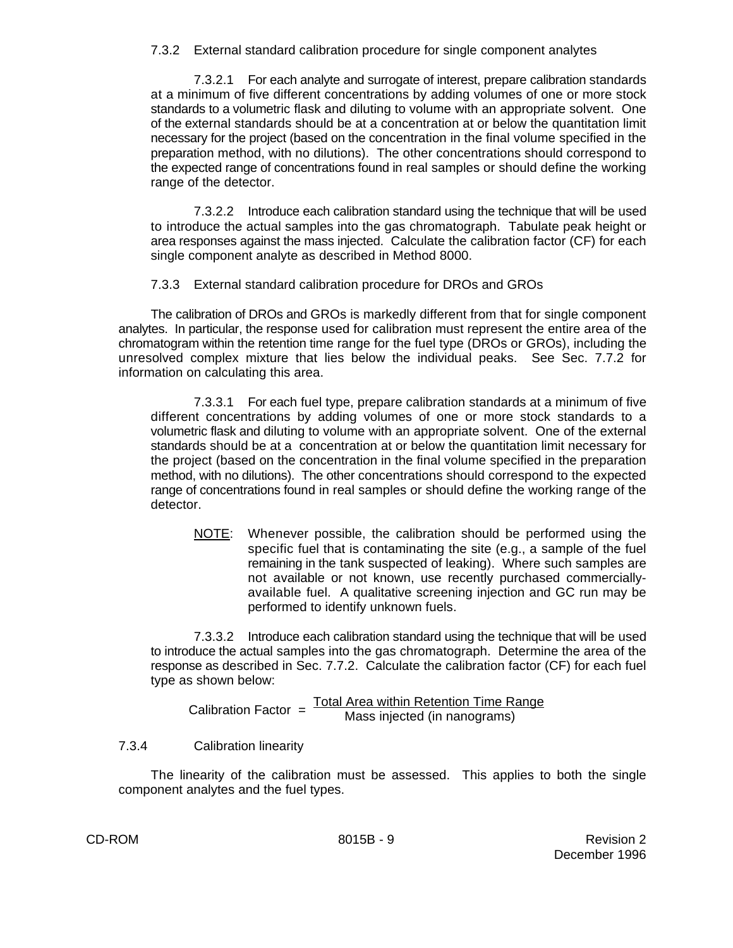7.3.2 External standard calibration procedure for single component analytes

7.3.2.1 For each analyte and surrogate of interest, prepare calibration standards at a minimum of five different concentrations by adding volumes of one or more stock standards to a volumetric flask and diluting to volume with an appropriate solvent. One of the external standards should be at a concentration at or below the quantitation limit necessary for the project (based on the concentration in the final volume specified in the preparation method, with no dilutions). The other concentrations should correspond to the expected range of concentrations found in real samples or should define the working range of the detector.

7.3.2.2 Introduce each calibration standard using the technique that will be used to introduce the actual samples into the gas chromatograph. Tabulate peak height or area responses against the mass injected. Calculate the calibration factor (CF) for each single component analyte as described in Method 8000.

7.3.3 External standard calibration procedure for DROs and GROs

The calibration of DROs and GROs is markedly different from that for single component analytes. In particular, the response used for calibration must represent the entire area of the chromatogram within the retention time range for the fuel type (DROs or GROs), including the unresolved complex mixture that lies below the individual peaks. See Sec. 7.7.2 for information on calculating this area.

7.3.3.1 For each fuel type, prepare calibration standards at a minimum of five different concentrations by adding volumes of one or more stock standards to a volumetric flask and diluting to volume with an appropriate solvent. One of the external standards should be at a concentration at or below the quantitation limit necessary for the project (based on the concentration in the final volume specified in the preparation method, with no dilutions). The other concentrations should correspond to the expected range of concentrations found in real samples or should define the working range of the detector.

NOTE: Whenever possible, the calibration should be performed using the specific fuel that is contaminating the site (e.g., a sample of the fuel remaining in the tank suspected of leaking). Where such samples are not available or not known, use recently purchased commerciallyavailable fuel. A qualitative screening injection and GC run may be performed to identify unknown fuels.

7.3.3.2 Introduce each calibration standard using the technique that will be used to introduce the actual samples into the gas chromatograph. Determine the area of the response as described in Sec. 7.7.2. Calculate the calibration factor (CF) for each fuel type as shown below:

Calibration Factor = Total Area within Retention Time Range Mass injected (in nanograms)

# 7.3.4 Calibration linearity

The linearity of the calibration must be assessed. This applies to both the single component analytes and the fuel types.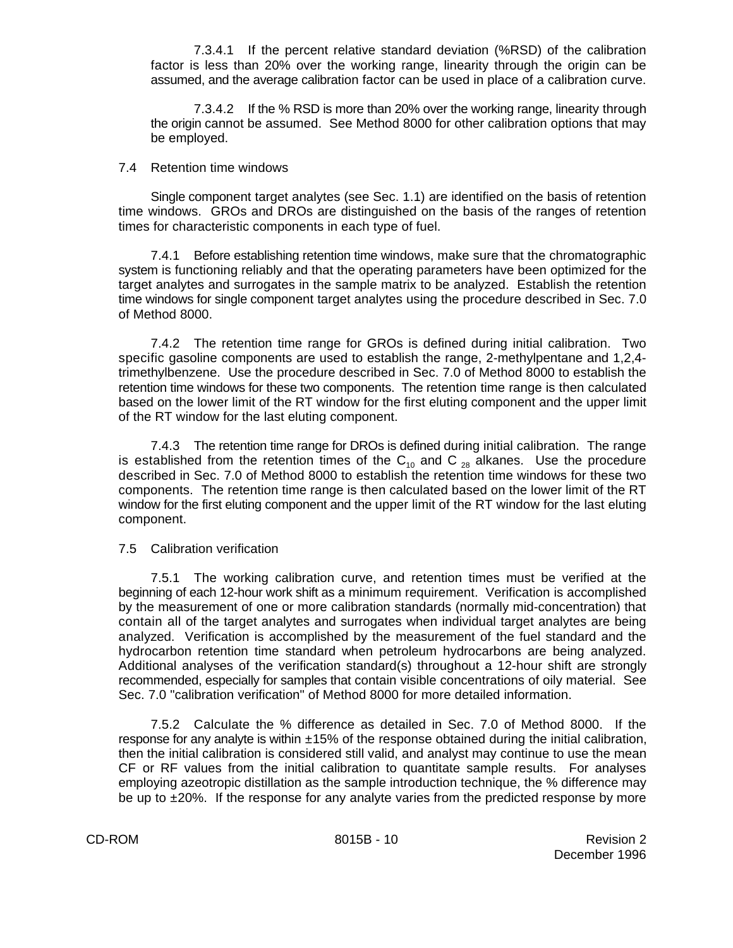7.3.4.1 If the percent relative standard deviation (%RSD) of the calibration factor is less than 20% over the working range, linearity through the origin can be assumed, and the average calibration factor can be used in place of a calibration curve.

7.3.4.2 If the % RSD is more than 20% over the working range, linearity through the origin cannot be assumed. See Method 8000 for other calibration options that may be employed.

#### 7.4 Retention time windows

Single component target analytes (see Sec. 1.1) are identified on the basis of retention time windows. GROs and DROs are distinguished on the basis of the ranges of retention times for characteristic components in each type of fuel.

7.4.1 Before establishing retention time windows, make sure that the chromatographic system is functioning reliably and that the operating parameters have been optimized for the target analytes and surrogates in the sample matrix to be analyzed. Establish the retention time windows for single component target analytes using the procedure described in Sec. 7.0 of Method 8000.

7.4.2 The retention time range for GROs is defined during initial calibration. Two specific gasoline components are used to establish the range, 2-methylpentane and 1,2,4 trimethylbenzene. Use the procedure described in Sec. 7.0 of Method 8000 to establish the retention time windows for these two components. The retention time range is then calculated based on the lower limit of the RT window for the first eluting component and the upper limit of the RT window for the last eluting component.

7.4.3 The retention time range for DROs is defined during initial calibration. The range is established from the retention times of the  $C_{10}$  and C  $_{28}$  alkanes. Use the procedure described in Sec. 7.0 of Method 8000 to establish the retention time windows for these two components. The retention time range is then calculated based on the lower limit of the RT window for the first eluting component and the upper limit of the RT window for the last eluting component.

#### 7.5 Calibration verification

7.5.1 The working calibration curve, and retention times must be verified at the beginning of each 12-hour work shift as a minimum requirement. Verification is accomplished by the measurement of one or more calibration standards (normally mid-concentration) that contain all of the target analytes and surrogates when individual target analytes are being analyzed. Verification is accomplished by the measurement of the fuel standard and the hydrocarbon retention time standard when petroleum hydrocarbons are being analyzed. Additional analyses of the verification standard(s) throughout a 12-hour shift are strongly recommended, especially for samples that contain visible concentrations of oily material. See Sec. 7.0 "calibration verification" of Method 8000 for more detailed information.

7.5.2 Calculate the % difference as detailed in Sec. 7.0 of Method 8000. If the response for any analyte is within  $\pm 15\%$  of the response obtained during the initial calibration, then the initial calibration is considered still valid, and analyst may continue to use the mean CF or RF values from the initial calibration to quantitate sample results. For analyses employing azeotropic distillation as the sample introduction technique, the % difference may be up to  $\pm 20\%$ . If the response for any analyte varies from the predicted response by more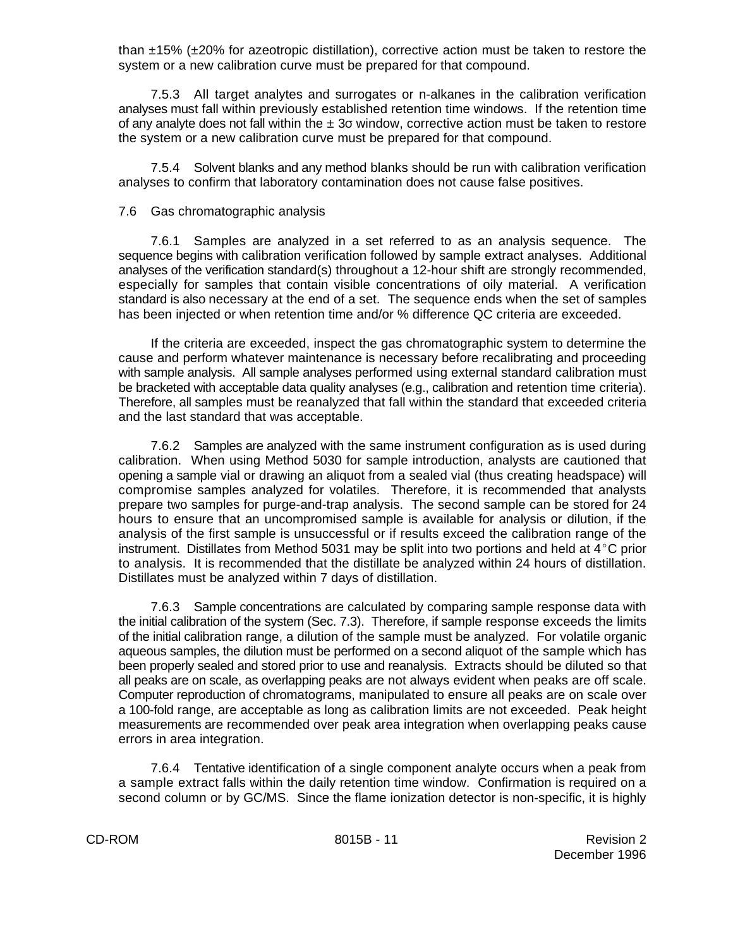than ±15% (±20% for azeotropic distillation), corrective action must be taken to restore the system or a new calibration curve must be prepared for that compound.

7.5.3 All target analytes and surrogates or n-alkanes in the calibration verification analyses must fall within previously established retention time windows. If the retention time of any analyte does not fall within the  $\pm$  3 $\sigma$  window, corrective action must be taken to restore the system or a new calibration curve must be prepared for that compound.

7.5.4 Solvent blanks and any method blanks should be run with calibration verification analyses to confirm that laboratory contamination does not cause false positives.

### 7.6 Gas chromatographic analysis

7.6.1 Samples are analyzed in a set referred to as an analysis sequence. The sequence begins with calibration verification followed by sample extract analyses. Additional analyses of the verification standard(s) throughout a 12-hour shift are strongly recommended, especially for samples that contain visible concentrations of oily material. A verification standard is also necessary at the end of a set. The sequence ends when the set of samples has been injected or when retention time and/or % difference QC criteria are exceeded.

If the criteria are exceeded, inspect the gas chromatographic system to determine the cause and perform whatever maintenance is necessary before recalibrating and proceeding with sample analysis. All sample analyses performed using external standard calibration must be bracketed with acceptable data quality analyses (e.g., calibration and retention time criteria). Therefore, all samples must be reanalyzed that fall within the standard that exceeded criteria and the last standard that was acceptable.

7.6.2 Samples are analyzed with the same instrument configuration as is used during calibration. When using Method 5030 for sample introduction, analysts are cautioned that opening a sample vial or drawing an aliquot from a sealed vial (thus creating headspace) will compromise samples analyzed for volatiles. Therefore, it is recommended that analysts prepare two samples for purge-and-trap analysis. The second sample can be stored for 24 hours to ensure that an uncompromised sample is available for analysis or dilution, if the analysis of the first sample is unsuccessful or if results exceed the calibration range of the instrument. Distillates from Method 5031 may be split into two portions and held at  $4^{\circ}$ C prior to analysis. It is recommended that the distillate be analyzed within 24 hours of distillation. Distillates must be analyzed within 7 days of distillation.

7.6.3 Sample concentrations are calculated by comparing sample response data with the initial calibration of the system (Sec. 7.3). Therefore, if sample response exceeds the limits of the initial calibration range, a dilution of the sample must be analyzed. For volatile organic aqueous samples, the dilution must be performed on a second aliquot of the sample which has been properly sealed and stored prior to use and reanalysis. Extracts should be diluted so that all peaks are on scale, as overlapping peaks are not always evident when peaks are off scale. Computer reproduction of chromatograms, manipulated to ensure all peaks are on scale over a 100-fold range, are acceptable as long as calibration limits are not exceeded. Peak height measurements are recommended over peak area integration when overlapping peaks cause errors in area integration.

7.6.4 Tentative identification of a single component analyte occurs when a peak from a sample extract falls within the daily retention time window. Confirmation is required on a second column or by GC/MS. Since the flame ionization detector is non-specific, it is highly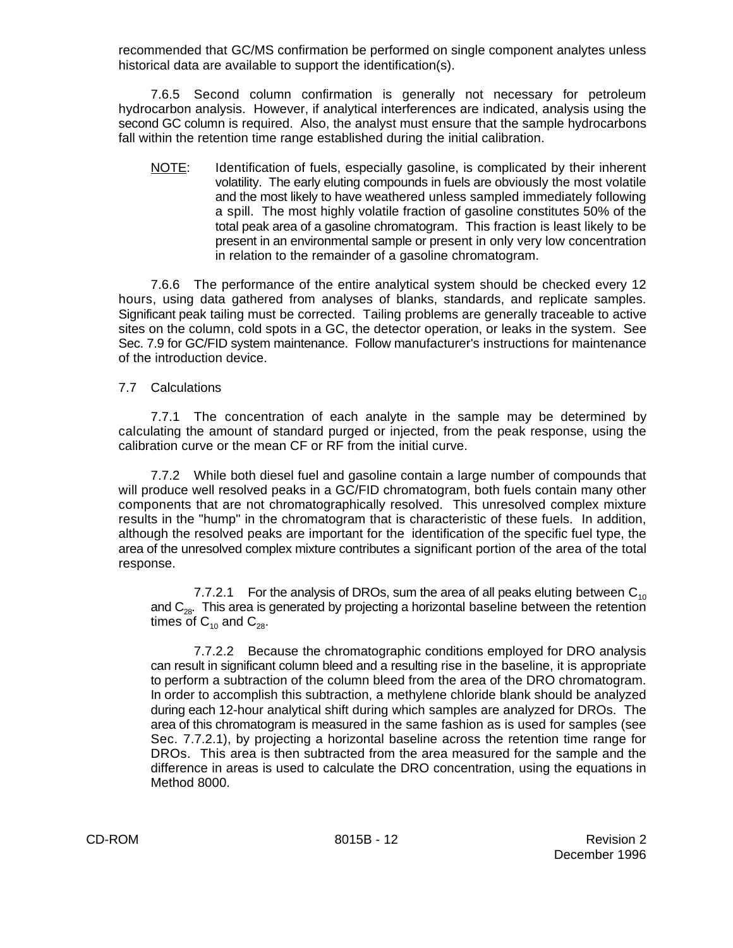recommended that GC/MS confirmation be performed on single component analytes unless historical data are available to support the identification(s).

7.6.5 Second column confirmation is generally not necessary for petroleum hydrocarbon analysis. However, if analytical interferences are indicated, analysis using the second GC column is required. Also, the analyst must ensure that the sample hydrocarbons fall within the retention time range established during the initial calibration.

NOTE: Identification of fuels, especially gasoline, is complicated by their inherent volatility. The early eluting compounds in fuels are obviously the most volatile and the most likely to have weathered unless sampled immediately following a spill. The most highly volatile fraction of gasoline constitutes 50% of the total peak area of a gasoline chromatogram. This fraction is least likely to be present in an environmental sample or present in only very low concentration in relation to the remainder of a gasoline chromatogram.

7.6.6 The performance of the entire analytical system should be checked every 12 hours, using data gathered from analyses of blanks, standards, and replicate samples. Significant peak tailing must be corrected. Tailing problems are generally traceable to active sites on the column, cold spots in a GC, the detector operation, or leaks in the system. See Sec. 7.9 for GC/FID system maintenance. Follow manufacturer's instructions for maintenance of the introduction device.

## 7.7 Calculations

7.7.1 The concentration of each analyte in the sample may be determined by calculating the amount of standard purged or injected, from the peak response, using the calibration curve or the mean CF or RF from the initial curve.

7.7.2 While both diesel fuel and gasoline contain a large number of compounds that will produce well resolved peaks in a GC/FID chromatogram, both fuels contain many other components that are not chromatographically resolved. This unresolved complex mixture results in the "hump" in the chromatogram that is characteristic of these fuels. In addition, although the resolved peaks are important for the identification of the specific fuel type, the area of the unresolved complex mixture contributes a significant portion of the area of the total response.

7.7.2.1 For the analysis of DROs, sum the area of all peaks eluting between  $C_{10}$ and  $C_{28}$ . This area is generated by projecting a horizontal baseline between the retention times of  $C_{10}$  and  $C_{28}$ .

7.7.2.2 Because the chromatographic conditions employed for DRO analysis can result in significant column bleed and a resulting rise in the baseline, it is appropriate to perform a subtraction of the column bleed from the area of the DRO chromatogram. In order to accomplish this subtraction, a methylene chloride blank should be analyzed during each 12-hour analytical shift during which samples are analyzed for DROs. The area of this chromatogram is measured in the same fashion as is used for samples (see Sec. 7.7.2.1), by projecting a horizontal baseline across the retention time range for DROs. This area is then subtracted from the area measured for the sample and the difference in areas is used to calculate the DRO concentration, using the equations in Method 8000.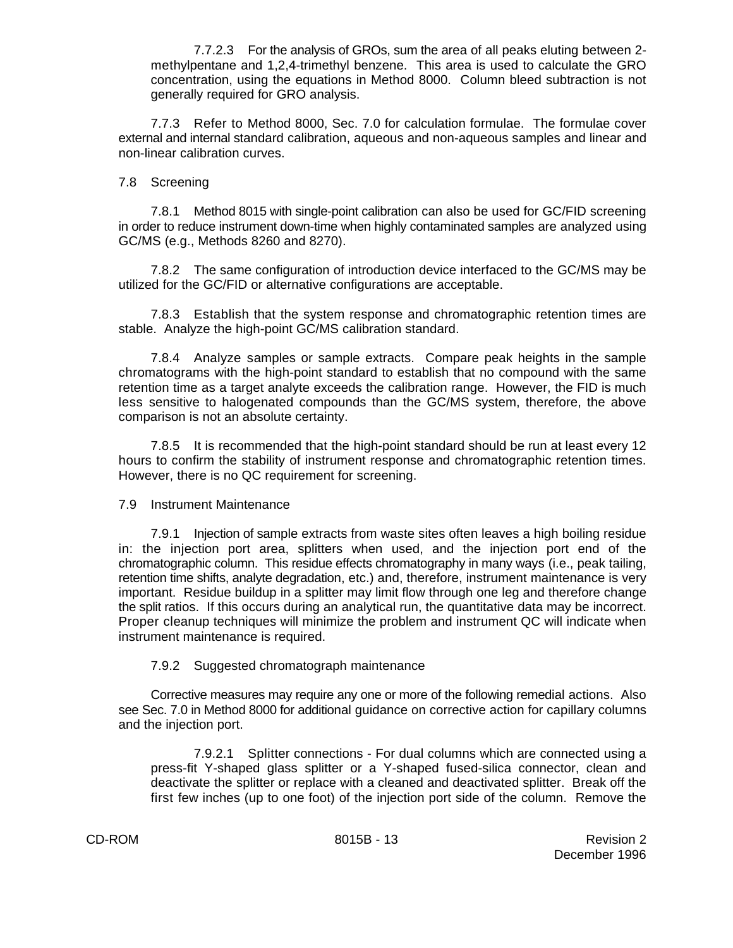7.7.2.3 For the analysis of GROs, sum the area of all peaks eluting between 2 methylpentane and 1,2,4-trimethyl benzene. This area is used to calculate the GRO concentration, using the equations in Method 8000. Column bleed subtraction is not generally required for GRO analysis.

7.7.3 Refer to Method 8000, Sec. 7.0 for calculation formulae. The formulae cover external and internal standard calibration, aqueous and non-aqueous samples and linear and non-linear calibration curves.

#### 7.8 Screening

7.8.1 Method 8015 with single-point calibration can also be used for GC/FID screening in order to reduce instrument down-time when highly contaminated samples are analyzed using GC/MS (e.g., Methods 8260 and 8270).

7.8.2 The same configuration of introduction device interfaced to the GC/MS may be utilized for the GC/FID or alternative configurations are acceptable.

7.8.3 Establish that the system response and chromatographic retention times are stable. Analyze the high-point GC/MS calibration standard.

7.8.4 Analyze samples or sample extracts. Compare peak heights in the sample chromatograms with the high-point standard to establish that no compound with the same retention time as a target analyte exceeds the calibration range. However, the FID is much less sensitive to halogenated compounds than the GC/MS system, therefore, the above comparison is not an absolute certainty.

7.8.5 It is recommended that the high-point standard should be run at least every 12 hours to confirm the stability of instrument response and chromatographic retention times. However, there is no QC requirement for screening.

#### 7.9 Instrument Maintenance

7.9.1 Injection of sample extracts from waste sites often leaves a high boiling residue in: the injection port area, splitters when used, and the injection port end of the chromatographic column. This residue effects chromatography in many ways (i.e., peak tailing, retention time shifts, analyte degradation, etc.) and, therefore, instrument maintenance is very important. Residue buildup in a splitter may limit flow through one leg and therefore change the split ratios. If this occurs during an analytical run, the quantitative data may be incorrect. Proper cleanup techniques will minimize the problem and instrument QC will indicate when instrument maintenance is required.

#### 7.9.2 Suggested chromatograph maintenance

Corrective measures may require any one or more of the following remedial actions. Also see Sec. 7.0 in Method 8000 for additional guidance on corrective action for capillary columns and the injection port.

7.9.2.1 Splitter connections - For dual columns which are connected using a press-fit Y-shaped glass splitter or a Y-shaped fused-silica connector, clean and deactivate the splitter or replace with a cleaned and deactivated splitter. Break off the first few inches (up to one foot) of the injection port side of the column. Remove the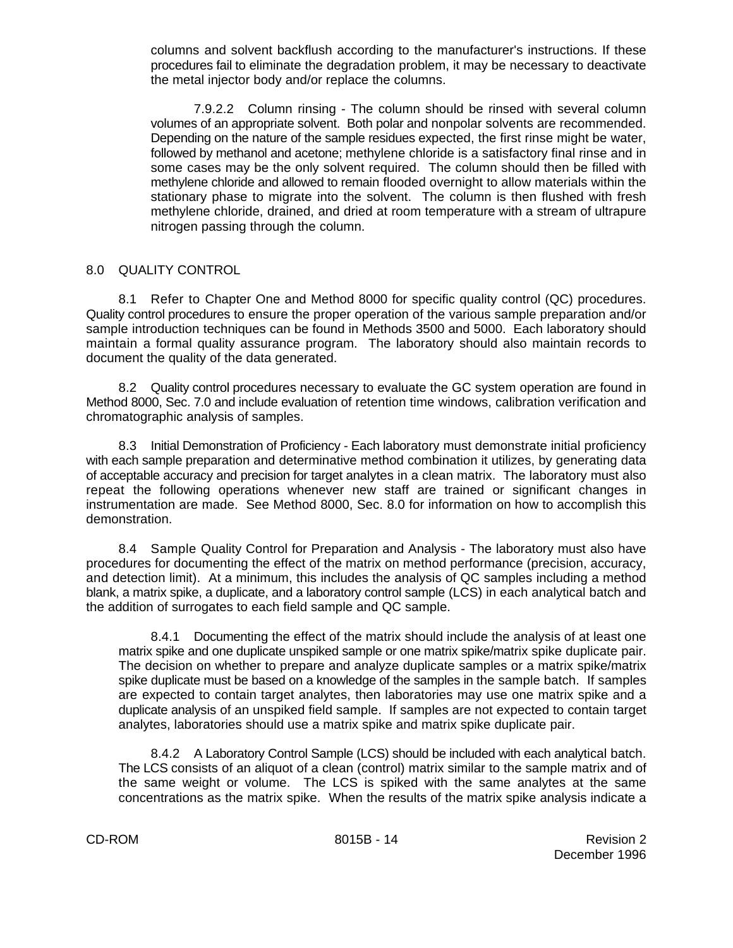columns and solvent backflush according to the manufacturer's instructions. If these procedures fail to eliminate the degradation problem, it may be necessary to deactivate the metal injector body and/or replace the columns.

7.9.2.2 Column rinsing - The column should be rinsed with several column volumes of an appropriate solvent. Both polar and nonpolar solvents are recommended. Depending on the nature of the sample residues expected, the first rinse might be water, followed by methanol and acetone; methylene chloride is a satisfactory final rinse and in some cases may be the only solvent required. The column should then be filled with methylene chloride and allowed to remain flooded overnight to allow materials within the stationary phase to migrate into the solvent. The column is then flushed with fresh methylene chloride, drained, and dried at room temperature with a stream of ultrapure nitrogen passing through the column.

## 8.0 QUALITY CONTROL

8.1 Refer to Chapter One and Method 8000 for specific quality control (QC) procedures. Quality control procedures to ensure the proper operation of the various sample preparation and/or sample introduction techniques can be found in Methods 3500 and 5000. Each laboratory should maintain a formal quality assurance program. The laboratory should also maintain records to document the quality of the data generated.

8.2 Quality control procedures necessary to evaluate the GC system operation are found in Method 8000, Sec. 7.0 and include evaluation of retention time windows, calibration verification and chromatographic analysis of samples.

8.3 Initial Demonstration of Proficiency - Each laboratory must demonstrate initial proficiency with each sample preparation and determinative method combination it utilizes, by generating data of acceptable accuracy and precision for target analytes in a clean matrix. The laboratory must also repeat the following operations whenever new staff are trained or significant changes in instrumentation are made. See Method 8000, Sec. 8.0 for information on how to accomplish this demonstration.

8.4 Sample Quality Control for Preparation and Analysis - The laboratory must also have procedures for documenting the effect of the matrix on method performance (precision, accuracy, and detection limit). At a minimum, this includes the analysis of QC samples including a method blank, a matrix spike, a duplicate, and a laboratory control sample (LCS) in each analytical batch and the addition of surrogates to each field sample and QC sample.

8.4.1 Documenting the effect of the matrix should include the analysis of at least one matrix spike and one duplicate unspiked sample or one matrix spike/matrix spike duplicate pair. The decision on whether to prepare and analyze duplicate samples or a matrix spike/matrix spike duplicate must be based on a knowledge of the samples in the sample batch. If samples are expected to contain target analytes, then laboratories may use one matrix spike and a duplicate analysis of an unspiked field sample. If samples are not expected to contain target analytes, laboratories should use a matrix spike and matrix spike duplicate pair.

8.4.2 A Laboratory Control Sample (LCS) should be included with each analytical batch. The LCS consists of an aliquot of a clean (control) matrix similar to the sample matrix and of the same weight or volume. The LCS is spiked with the same analytes at the same concentrations as the matrix spike. When the results of the matrix spike analysis indicate a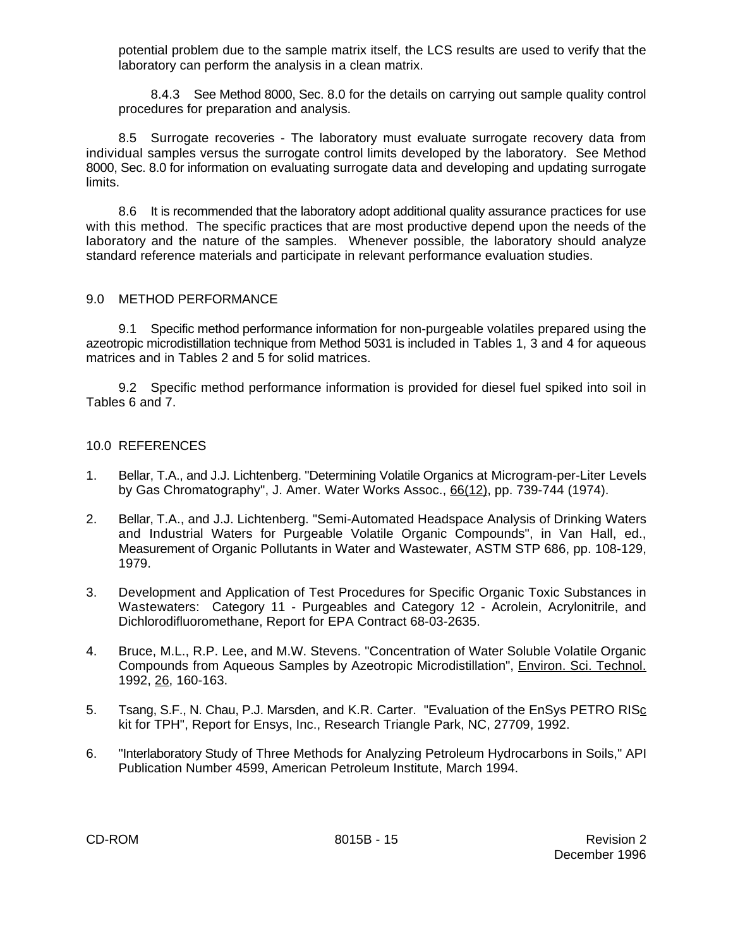potential problem due to the sample matrix itself, the LCS results are used to verify that the laboratory can perform the analysis in a clean matrix.

8.4.3 See Method 8000, Sec. 8.0 for the details on carrying out sample quality control procedures for preparation and analysis.

8.5 Surrogate recoveries - The laboratory must evaluate surrogate recovery data from individual samples versus the surrogate control limits developed by the laboratory. See Method 8000, Sec. 8.0 for information on evaluating surrogate data and developing and updating surrogate limits.

8.6 It is recommended that the laboratory adopt additional quality assurance practices for use with this method. The specific practices that are most productive depend upon the needs of the laboratory and the nature of the samples. Whenever possible, the laboratory should analyze standard reference materials and participate in relevant performance evaluation studies.

### 9.0 METHOD PERFORMANCE

9.1 Specific method performance information for non-purgeable volatiles prepared using the azeotropic microdistillation technique from Method 5031 is included in Tables 1, 3 and 4 for aqueous matrices and in Tables 2 and 5 for solid matrices.

9.2 Specific method performance information is provided for diesel fuel spiked into soil in Tables 6 and 7.

### 10.0 REFERENCES

- 1. Bellar, T.A., and J.J. Lichtenberg. "Determining Volatile Organics at Microgram-per-Liter Levels by Gas Chromatography", J. Amer. Water Works Assoc., 66(12), pp. 739-744 (1974).
- 2. Bellar, T.A., and J.J. Lichtenberg. "Semi-Automated Headspace Analysis of Drinking Waters and Industrial Waters for Purgeable Volatile Organic Compounds", in Van Hall, ed., Measurement of Organic Pollutants in Water and Wastewater, ASTM STP 686, pp. 108-129, 1979.
- 3. Development and Application of Test Procedures for Specific Organic Toxic Substances in Wastewaters: Category 11 - Purgeables and Category 12 - Acrolein, Acrylonitrile, and Dichlorodifluoromethane, Report for EPA Contract 68-03-2635.
- 4. Bruce, M.L., R.P. Lee, and M.W. Stevens. "Concentration of Water Soluble Volatile Organic Compounds from Aqueous Samples by Azeotropic Microdistillation", Environ. Sci. Technol. 1992, 26, 160-163.
- 5. Tsang, S.F., N. Chau, P.J. Marsden, and K.R. Carter. "Evaluation of the EnSys PETRO RISC kit for TPH", Report for Ensys, Inc., Research Triangle Park, NC, 27709, 1992.
- 6. "Interlaboratory Study of Three Methods for Analyzing Petroleum Hydrocarbons in Soils," API Publication Number 4599, American Petroleum Institute, March 1994.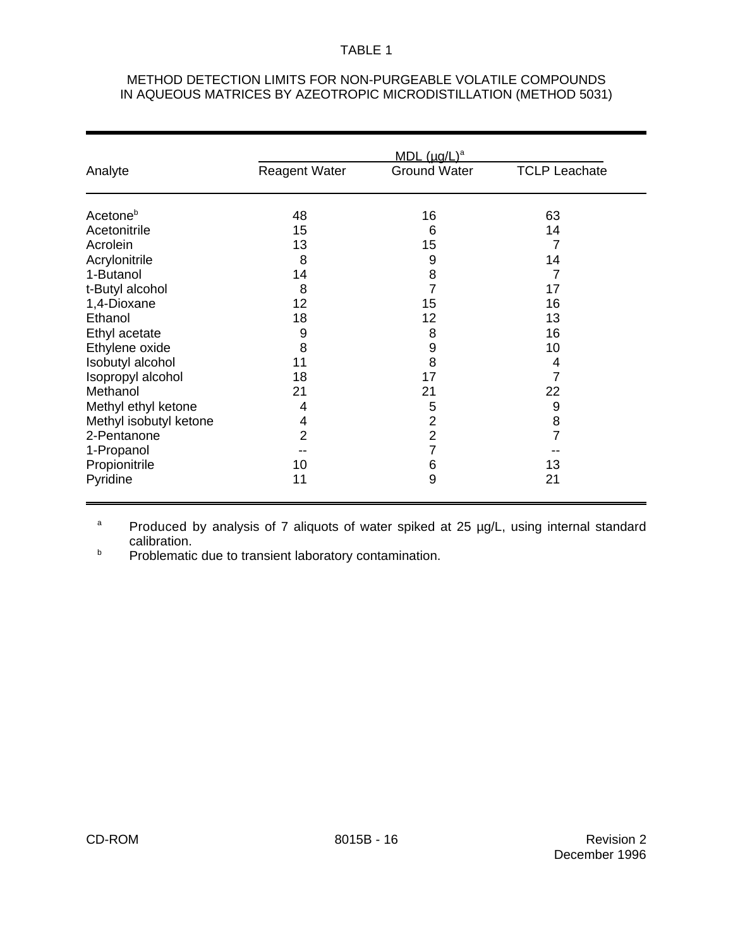### TABLE 1

#### METHOD DETECTION LIMITS FOR NON-PURGEABLE VOLATILE COMPOUNDS IN AQUEOUS MATRICES BY AZEOTROPIC MICRODISTILLATION (METHOD 5031)

|                        |                      | MDL (µq/L) <sup>a</sup> |                      |
|------------------------|----------------------|-------------------------|----------------------|
| Analyte                | <b>Reagent Water</b> | <b>Ground Water</b>     | <b>TCLP Leachate</b> |
| Acetone <sup>b</sup>   | 48                   | 16                      | 63                   |
| Acetonitrile           | 15                   | 6                       | 14                   |
| Acrolein               | 13                   | 15                      | 7                    |
| Acrylonitrile          | 8                    | 9                       | 14                   |
| 1-Butanol              | 14                   | 8                       | 7                    |
| t-Butyl alcohol        | 8                    | $\overline{7}$          | 17                   |
| 1,4-Dioxane            | 12                   | 15                      | 16                   |
| Ethanol                | 18                   | 12                      | 13                   |
| Ethyl acetate          | 9                    | 8                       | 16                   |
| Ethylene oxide         | 8                    | 9                       | 10                   |
| Isobutyl alcohol       | 11                   | 8                       | 4                    |
| Isopropyl alcohol      | 18                   | 17                      | $\overline{7}$       |
| Methanol               | 21                   | 21                      | 22                   |
| Methyl ethyl ketone    | 4                    | 5                       | 9                    |
| Methyl isobutyl ketone | 4                    | $\overline{2}$          | 8                    |
| 2-Pentanone            | $\overline{2}$       | $\overline{2}$          | $\overline{7}$       |
| 1-Propanol             |                      | $\overline{7}$          |                      |
| Propionitrile          | 10                   | 6                       | 13                   |
| Pyridine               | 11                   | 9                       | 21                   |

Produced by analysis of 7 aliquots of water spiked at 25 µg/L, using internal standard a calibration.

**b** Problematic due to transient laboratory contamination.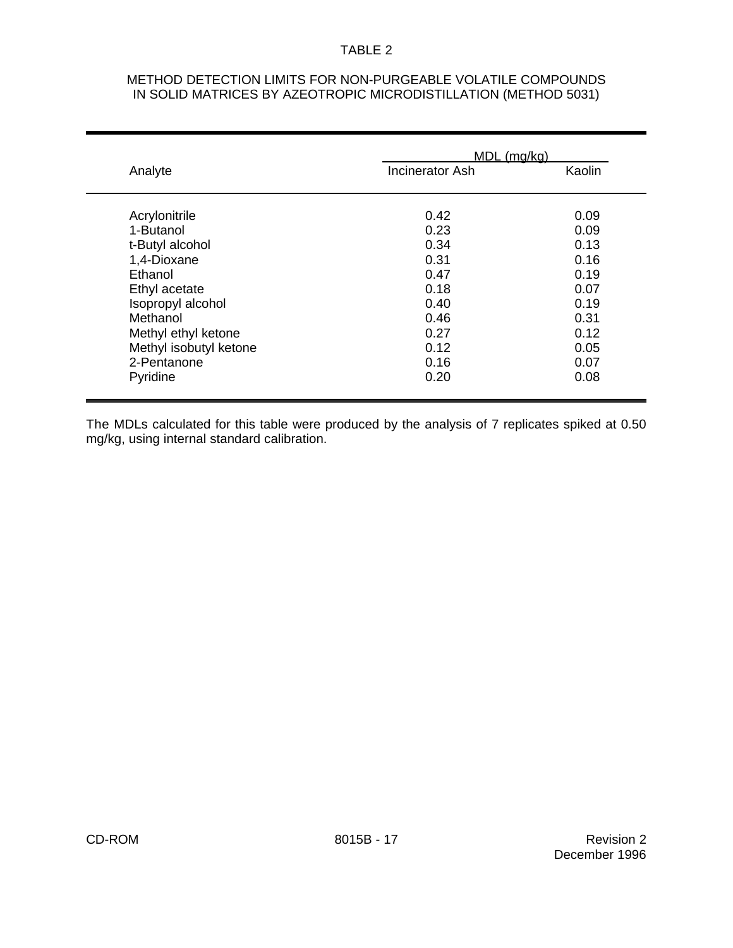### TABLE 2

#### METHOD DETECTION LIMITS FOR NON-PURGEABLE VOLATILE COMPOUNDS IN SOLID MATRICES BY AZEOTROPIC MICRODISTILLATION (METHOD 5031)

|                        | $MDL$ (mg/kg)          |        |  |  |  |
|------------------------|------------------------|--------|--|--|--|
| Analyte                | <b>Incinerator Ash</b> | Kaolin |  |  |  |
| Acrylonitrile          | 0.42                   | 0.09   |  |  |  |
| 1-Butanol              | 0.23                   | 0.09   |  |  |  |
| t-Butyl alcohol        | 0.34                   | 0.13   |  |  |  |
| 1,4-Dioxane            | 0.31                   | 0.16   |  |  |  |
| Ethanol                | 0.47                   | 0.19   |  |  |  |
| Ethyl acetate          | 0.18                   | 0.07   |  |  |  |
| Isopropyl alcohol      | 0.40                   | 0.19   |  |  |  |
| Methanol               | 0.46                   | 0.31   |  |  |  |
| Methyl ethyl ketone    | 0.27                   | 0.12   |  |  |  |
| Methyl isobutyl ketone | 0.12                   | 0.05   |  |  |  |
| 2-Pentanone            | 0.16                   | 0.07   |  |  |  |
| Pyridine               | 0.20                   | 0.08   |  |  |  |

The MDLs calculated for this table were produced by the analysis of 7 replicates spiked at 0.50 mg/kg, using internal standard calibration.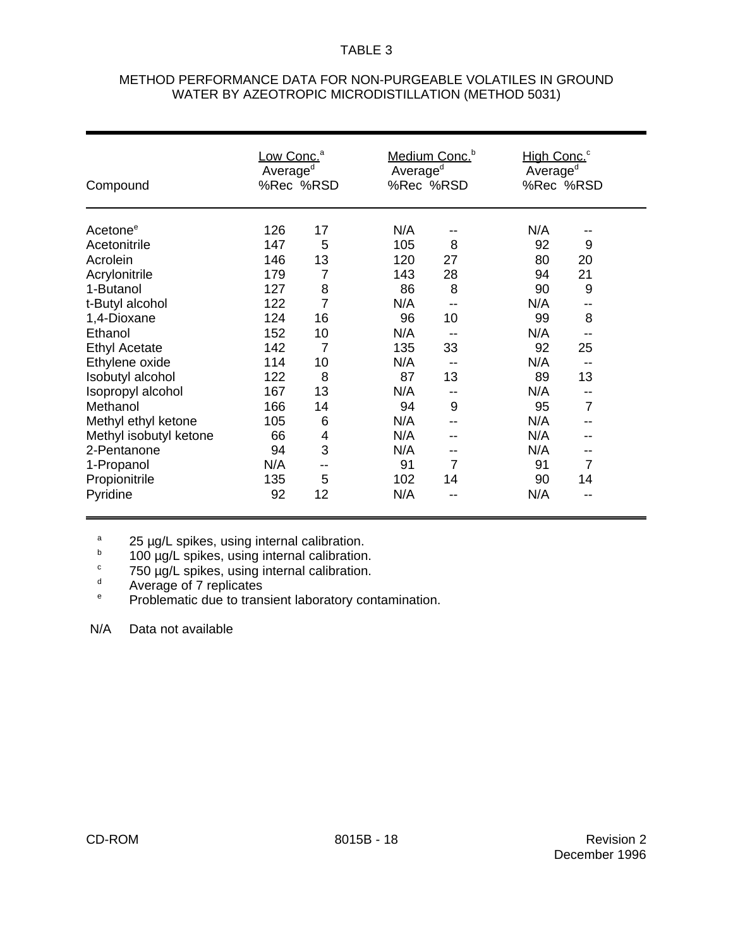#### METHOD PERFORMANCE DATA FOR NON-PURGEABLE VOLATILES IN GROUND WATER BY AZEOTROPIC MICRODISTILLATION (METHOD 5031)

| Compound               |     | Medium Conc. <sup>b</sup><br><u>Low Conc.</u> ª<br>Average <sup>d</sup><br>Average <sup>d</sup><br>%Rec %RSD<br>%Rec %RSD |     | High Conc. <sup>c</sup><br>Average <sup>d</sup><br>%Rec %RSD |     |                |  |
|------------------------|-----|---------------------------------------------------------------------------------------------------------------------------|-----|--------------------------------------------------------------|-----|----------------|--|
| Acetone <sup>e</sup>   | 126 | 17                                                                                                                        | N/A |                                                              | N/A |                |  |
| Acetonitrile           | 147 | 5                                                                                                                         | 105 | 8                                                            | 92  | 9              |  |
| Acrolein               | 146 | 13                                                                                                                        | 120 | 27                                                           | 80  | 20             |  |
| Acrylonitrile          | 179 | 7                                                                                                                         | 143 | 28                                                           | 94  | 21             |  |
| 1-Butanol              | 127 | 8                                                                                                                         | 86  | 8                                                            | 90  | 9              |  |
| t-Butyl alcohol        | 122 | 7                                                                                                                         | N/A | $-$                                                          | N/A |                |  |
| 1,4-Dioxane            | 124 | 16                                                                                                                        | 96  | 10                                                           | 99  | 8              |  |
| Ethanol                | 152 | 10                                                                                                                        | N/A |                                                              | N/A |                |  |
| <b>Ethyl Acetate</b>   | 142 | $\overline{7}$                                                                                                            | 135 | 33                                                           | 92  | 25             |  |
| Ethylene oxide         | 114 | 10                                                                                                                        | N/A |                                                              | N/A |                |  |
| Isobutyl alcohol       | 122 | 8                                                                                                                         | 87  | 13                                                           | 89  | 13             |  |
| Isopropyl alcohol      | 167 | 13                                                                                                                        | N/A |                                                              | N/A |                |  |
| Methanol               | 166 | 14                                                                                                                        | 94  | 9                                                            | 95  | $\overline{7}$ |  |
| Methyl ethyl ketone    | 105 | 6                                                                                                                         | N/A |                                                              | N/A |                |  |
| Methyl isobutyl ketone | 66  | 4                                                                                                                         | N/A |                                                              | N/A |                |  |
| 2-Pentanone            | 94  | 3                                                                                                                         | N/A |                                                              | N/A |                |  |
| 1-Propanol             | N/A |                                                                                                                           | 91  | 7                                                            | 91  | 7              |  |
| Propionitrile          | 135 | 5                                                                                                                         | 102 | 14                                                           | 90  | 14             |  |
| Pyridine               | 92  | 12                                                                                                                        | N/A |                                                              | N/A | $-$            |  |

<sup>a</sup>  $25 \mu g/L$  spikes, using internal calibration.<br> $\frac{b}{c}$   $100 \mu g/L$  spikes, using internal calibration.

 $\frac{100}{3}$  100 µg/L spikes, using internal calibration.

 $^{c}$  750  $\mu$ g/L spikes, using internal calibration.

 $\frac{d}{dx}$  Average of 7 replicates

Problematic due to transient laboratory contamination.

N/A Data not available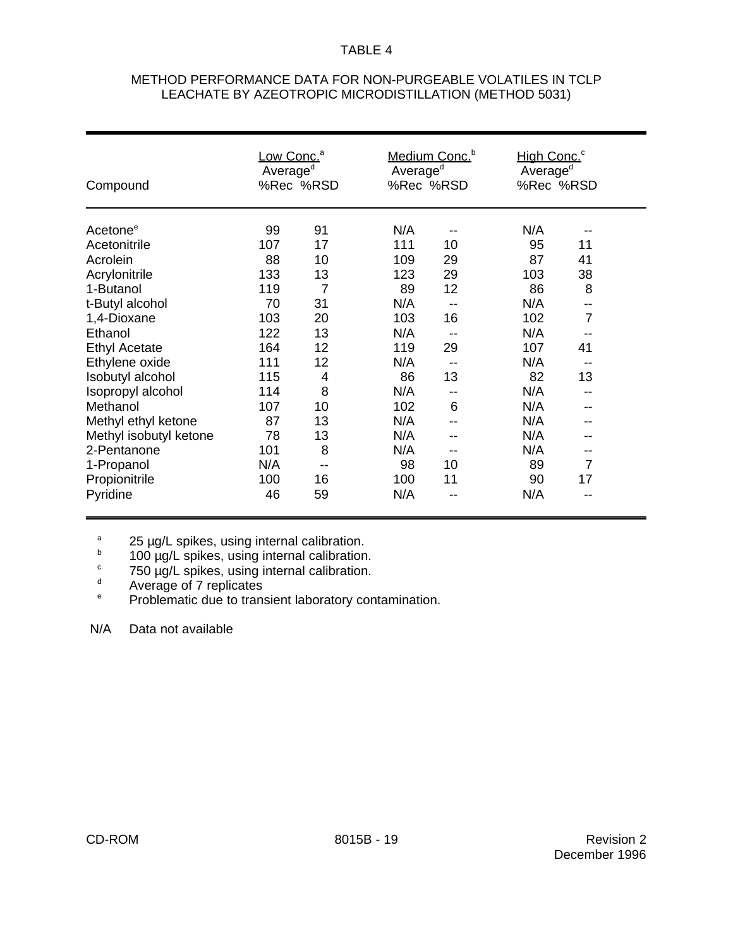#### METHOD PERFORMANCE DATA FOR NON-PURGEABLE VOLATILES IN TCLP LEACHATE BY AZEOTROPIC MICRODISTILLATION (METHOD 5031)

| Compound               | Medium Conc. <sup>b</sup><br>Low Conc. <sup>a</sup><br>Average <sup>d</sup><br>Average <sup>d</sup><br>%Rec %RSD<br>%Rec %RSD |    | High Conc. <sup>c</sup><br>Average <sup>d</sup><br>%Rec %RSD |     |     |                |  |
|------------------------|-------------------------------------------------------------------------------------------------------------------------------|----|--------------------------------------------------------------|-----|-----|----------------|--|
| Acetone <sup>e</sup>   | 99                                                                                                                            | 91 | N/A                                                          |     | N/A |                |  |
| Acetonitrile           | 107                                                                                                                           | 17 | 111                                                          | 10  | 95  | 11             |  |
| Acrolein               | 88                                                                                                                            | 10 | 109                                                          | 29  | 87  | 41             |  |
| Acrylonitrile          | 133                                                                                                                           | 13 | 123                                                          | 29  | 103 | 38             |  |
| 1-Butanol              | 119                                                                                                                           | 7  | 89                                                           | 12  | 86  | 8              |  |
| t-Butyl alcohol        | 70                                                                                                                            | 31 | N/A                                                          | $-$ | N/A |                |  |
| 1,4-Dioxane            | 103                                                                                                                           | 20 | 103                                                          | 16  | 102 | $\overline{7}$ |  |
| Ethanol                | 122                                                                                                                           | 13 | N/A                                                          |     | N/A |                |  |
| <b>Ethyl Acetate</b>   | 164                                                                                                                           | 12 | 119                                                          | 29  | 107 | 41             |  |
| Ethylene oxide         | 111                                                                                                                           | 12 | N/A                                                          |     | N/A |                |  |
| Isobutyl alcohol       | 115                                                                                                                           | 4  | 86                                                           | 13  | 82  | 13             |  |
| Isopropyl alcohol      | 114                                                                                                                           | 8  | N/A                                                          |     | N/A |                |  |
| Methanol               | 107                                                                                                                           | 10 | 102                                                          | 6   | N/A |                |  |
| Methyl ethyl ketone    | 87                                                                                                                            | 13 | N/A                                                          |     | N/A |                |  |
| Methyl isobutyl ketone | 78                                                                                                                            | 13 | N/A                                                          |     | N/A |                |  |
| 2-Pentanone            | 101                                                                                                                           | 8  | N/A                                                          | --  | N/A | --             |  |
| 1-Propanol             | N/A                                                                                                                           |    | 98                                                           | 10  | 89  | 7              |  |
| Propionitrile          | 100                                                                                                                           | 16 | 100                                                          | 11  | 90  | 17             |  |
| Pyridine               | 46                                                                                                                            | 59 | N/A                                                          |     | N/A | --             |  |

<sup>a</sup>  $25 \mu g/L$  spikes, using internal calibration.

 $\frac{100}{3}$  100 µg/L spikes, using internal calibration.

 $^{c}$  750  $\mu$ g/L spikes, using internal calibration.

 $\frac{d}{dx}$  Average of 7 replicates

Problematic due to transient laboratory contamination.

N/A Data not available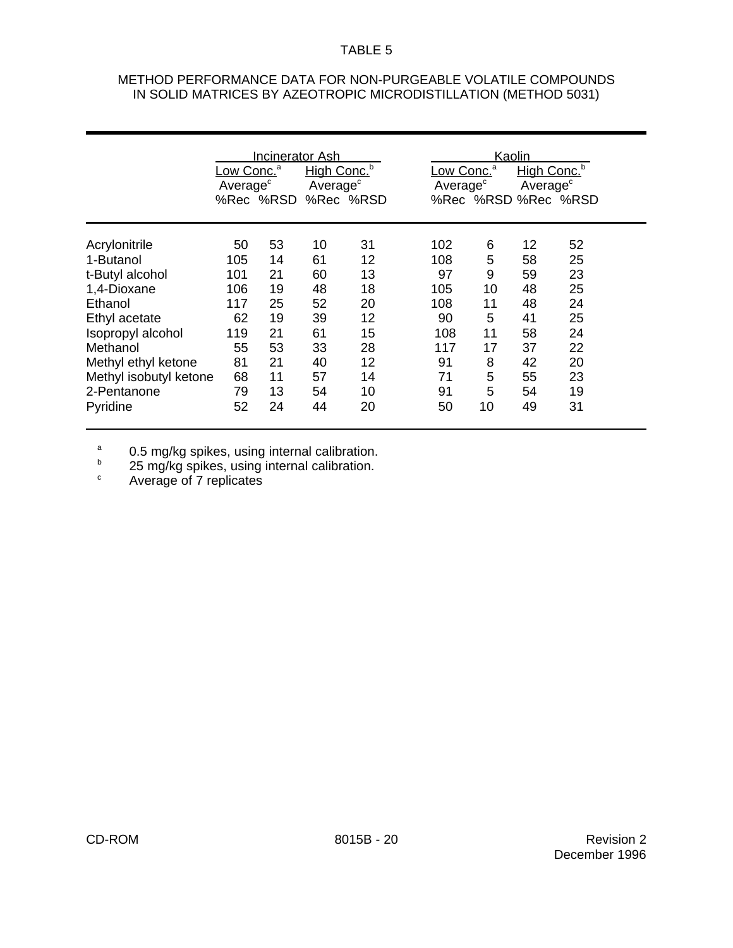### TABLE 5

#### METHOD PERFORMANCE DATA FOR NON-PURGEABLE VOLATILE COMPOUNDS IN SOLID MATRICES BY AZEOTROPIC MICRODISTILLATION (METHOD 5031)

|                        | Low Conc. <sup>a</sup><br>Average <sup>c</sup> | Incinerator Ash<br>%Rec %RSD %Rec %RSD | High Conc. <sup>b</sup><br>Average <sup>c</sup> |    | Low Conc. <sup>a</sup><br>Average <sup>c</sup> |    | Kaolin<br>High Conc. <sup>b</sup><br>Average <sup>c</sup> | %Rec %RSD %Rec %RSD |
|------------------------|------------------------------------------------|----------------------------------------|-------------------------------------------------|----|------------------------------------------------|----|-----------------------------------------------------------|---------------------|
| Acrylonitrile          | 50                                             | 53                                     | 10                                              | 31 | 102                                            | 6  | 12                                                        | 52                  |
| 1-Butanol              | 105                                            | 14                                     | 61                                              | 12 | 108                                            | 5  | 58                                                        | 25                  |
| t-Butyl alcohol        | 101                                            | 21                                     | 60                                              | 13 | 97                                             | 9  | 59                                                        | 23                  |
| 1,4-Dioxane            | 106                                            | 19                                     | 48                                              | 18 | 105                                            | 10 | 48                                                        | 25                  |
| Ethanol                | 117                                            | 25                                     | 52                                              | 20 | 108                                            | 11 | 48                                                        | 24                  |
| Ethyl acetate          | 62                                             | 19                                     | 39                                              | 12 | 90                                             | 5  | 41                                                        | 25                  |
| Isopropyl alcohol      | 119                                            | 21                                     | 61                                              | 15 | 108                                            | 11 | 58                                                        | 24                  |
| Methanol               | 55                                             | 53                                     | 33                                              | 28 | 117                                            | 17 | 37                                                        | 22                  |
| Methyl ethyl ketone    | 81                                             | 21                                     | 40                                              | 12 | 91                                             | 8  | 42                                                        | 20                  |
| Methyl isobutyl ketone | 68                                             | 11                                     | 57                                              | 14 | 71                                             | 5  | 55                                                        | 23                  |
| 2-Pentanone            | 79                                             | 13                                     | 54                                              | 10 | 91                                             | 5  | 54                                                        | 19                  |
| Pyridine               | 52                                             | 24                                     | 44                                              | 20 | 50                                             | 10 | 49                                                        | 31                  |

 $a = 0.5$  mg/kg spikes, using internal calibration.

 $b$  25 mg/kg spikes, using internal calibration.

 $\degree$  Average of 7 replicates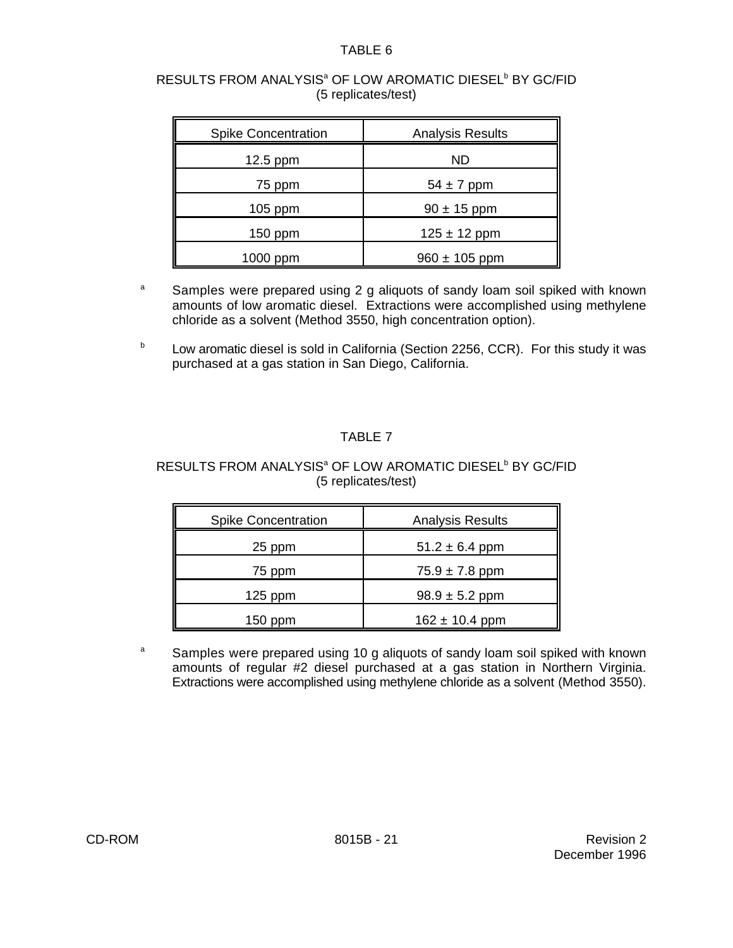## TABLE 6

## RESULTS FROM ANALYSIS<sup>a</sup> OF LOW AROMATIC DIESEL<sup>b</sup> BY GC/FID (5 replicates/test)

| <b>Spike Concentration</b> | <b>Analysis Results</b> |
|----------------------------|-------------------------|
| $12.5$ ppm                 | ND.                     |
| 75 ppm                     | $54 \pm 7$ ppm          |
| $105$ ppm                  | $90 \pm 15$ ppm         |
| $150$ ppm                  | $125 \pm 12$ ppm        |
| 1000 ppm                   | $960 \pm 105$ ppm       |

- Samples were prepared using 2 g aliquots of sandy loam soil spiked with known a amounts of low aromatic diesel. Extractions were accomplished using methylene chloride as a solvent (Method 3550, high concentration option).
- $b$  Low aromatic diesel is sold in California (Section 2256, CCR). For this study it was purchased at a gas station in San Diego, California.

# TABLE 7

## RESULTS FROM ANALYSIS<sup>a</sup> OF LOW AROMATIC DIESEL<sup>b</sup> BY GC/FID (5 replicates/test)

| <b>Spike Concentration</b> | <b>Analysis Results</b> |
|----------------------------|-------------------------|
| 25 ppm                     | $51.2 \pm 6.4$ ppm      |
| 75 ppm                     | $75.9 \pm 7.8$ ppm      |
| $125$ ppm                  | $98.9 \pm 5.2$ ppm      |
| 150 ppm                    | $162 \pm 10.4$ ppm      |

 Samples were prepared using 10 g aliquots of sandy loam soil spiked with known a amounts of regular #2 diesel purchased at a gas station in Northern Virginia. Extractions were accomplished using methylene chloride as a solvent (Method 3550).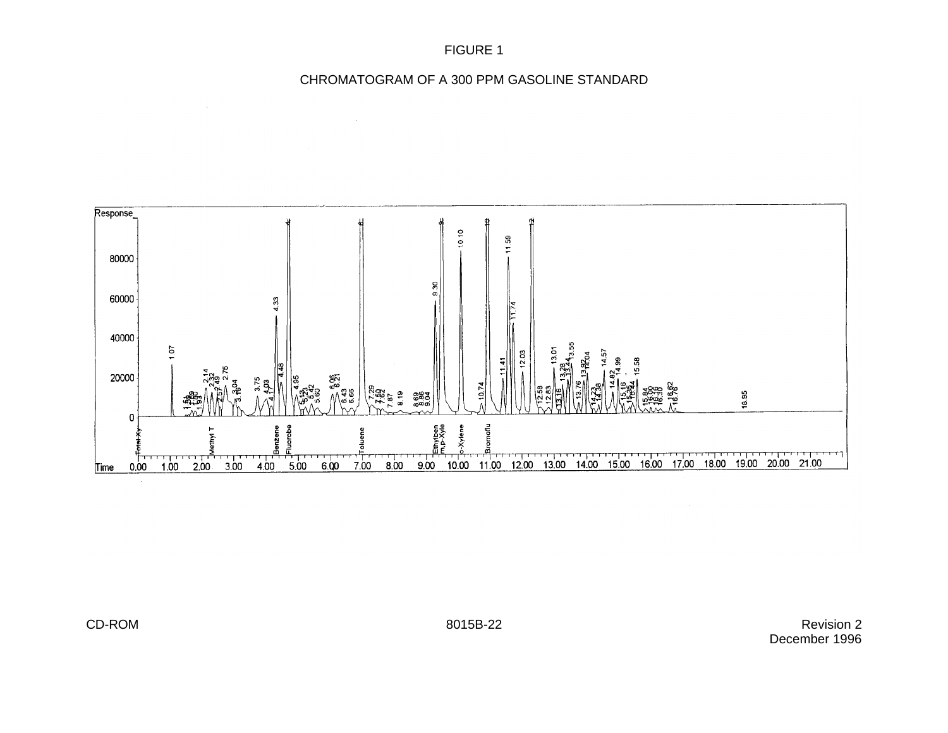# CHROMATOGRAM OF A 300 PPM GASOLINE STANDARD



CD-ROM Revision 2 December 1996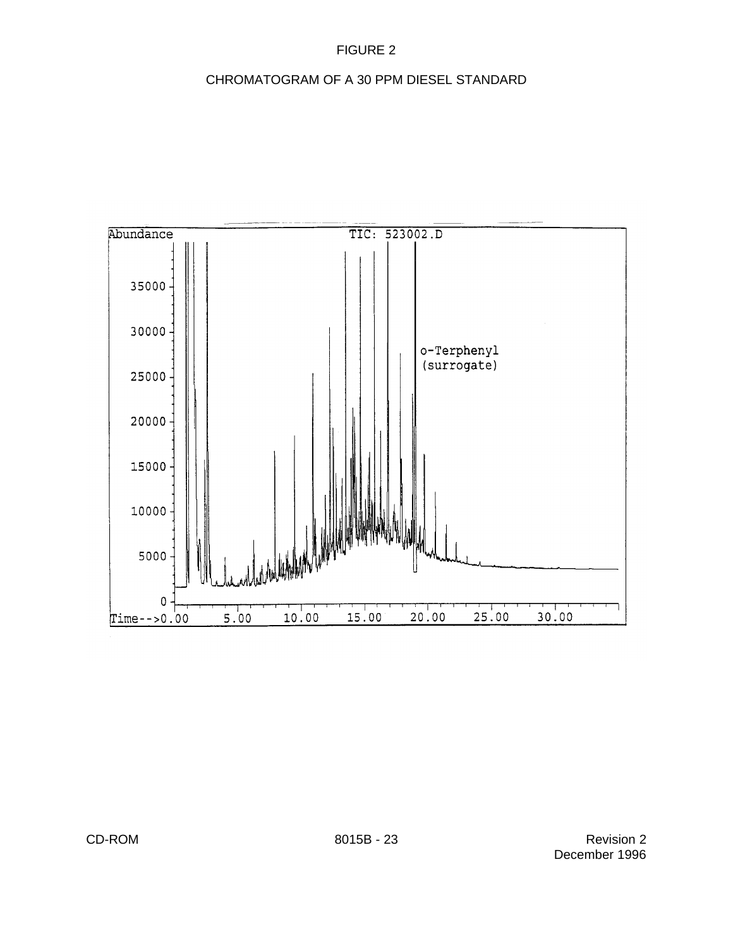## FIGURE 2

# CHROMATOGRAM OF A 30 PPM DIESEL STANDARD

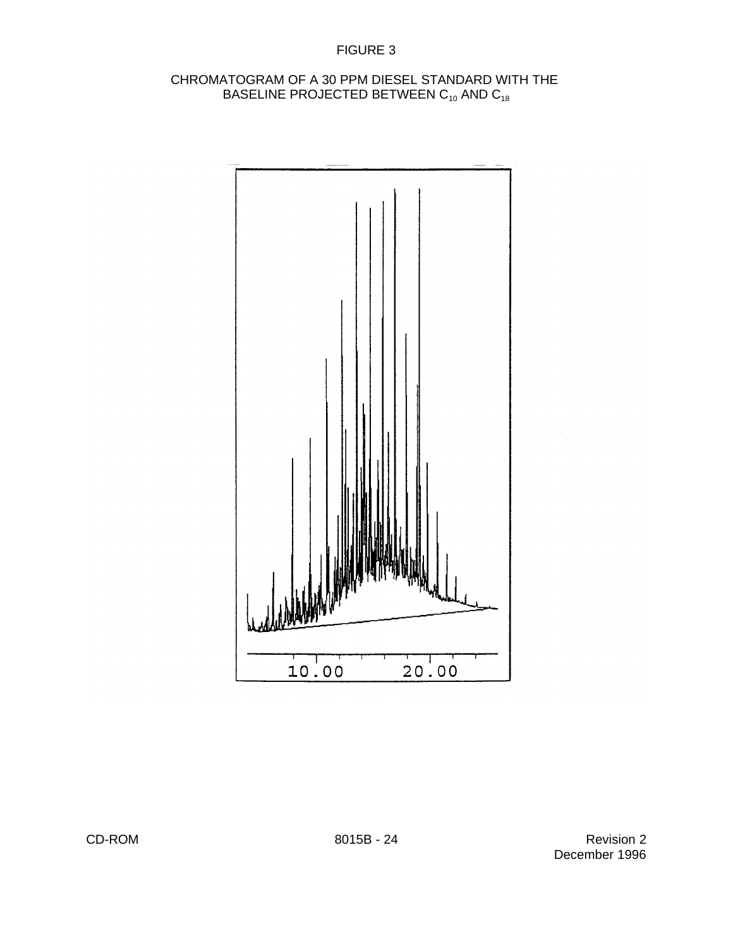## FIGURE 3

## CHROMATOGRAM OF A 30 PPM DIESEL STANDARD WITH THE BASELINE PROJECTED BETWEEN C<sub>10</sub> AND C<sub>18</sub>

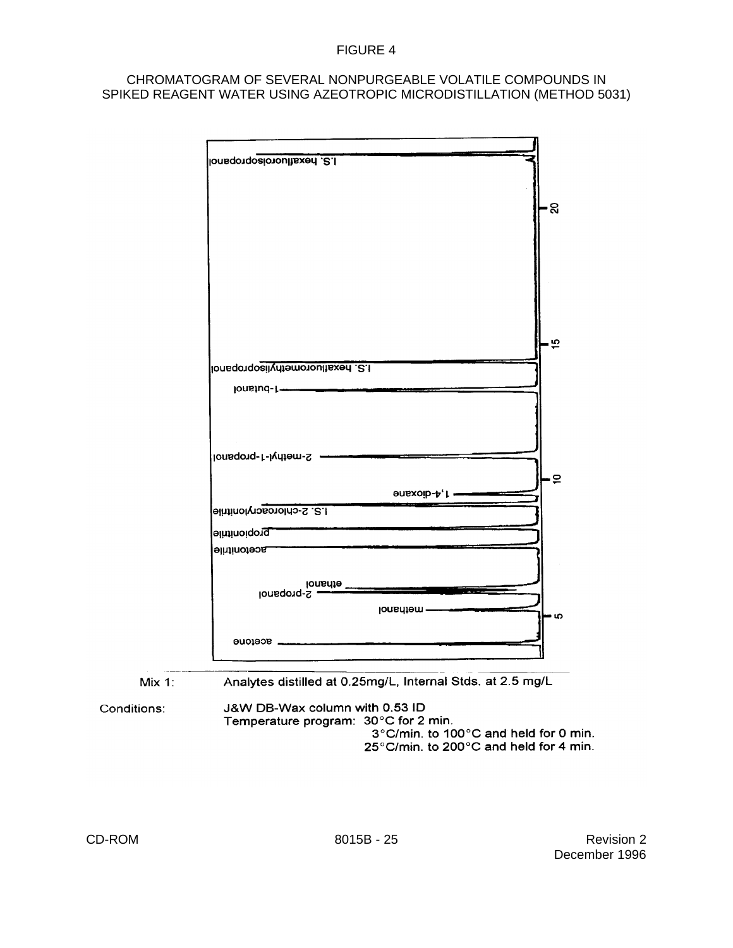#### CHROMATOGRAM OF SEVERAL NONPURGEABLE VOLATILE COMPOUNDS IN SPIKED REAGENT WATER USING AZEOTROPIC MICRODISTILLATION (METHOD 5031)

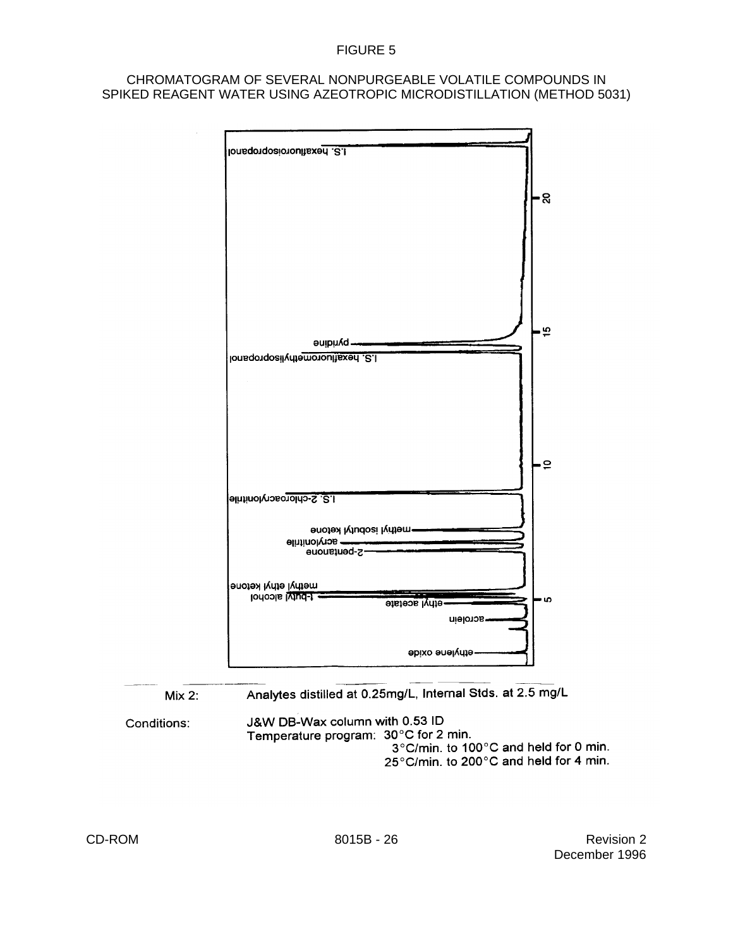### CHROMATOGRAM OF SEVERAL NONPURGEABLE VOLATILE COMPOUNDS IN SPIKED REAGENT WATER USING AZEOTROPIC MICRODISTILLATION (METHOD 5031)



| Mix 2: | Analytes distilled at 0.25mg/L, Internal Stds. at 2.5 mg/L |
|--------|------------------------------------------------------------|
|--------|------------------------------------------------------------|

#### J&W DB-Wax column with 0.53 ID Conditions: Temperature program: 30°C for 2 min. 3°C/min. to 100°C and held for 0 min. 25°C/min. to 200°C and held for 4 min.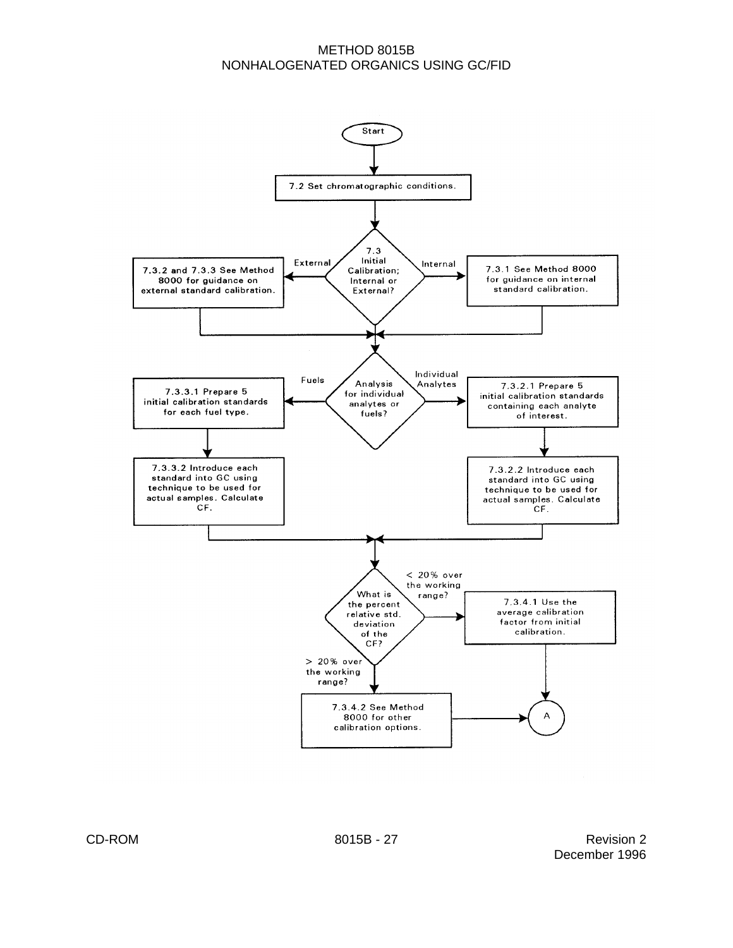### METHOD 8015B NONHALOGENATED ORGANICS USING GC/FID